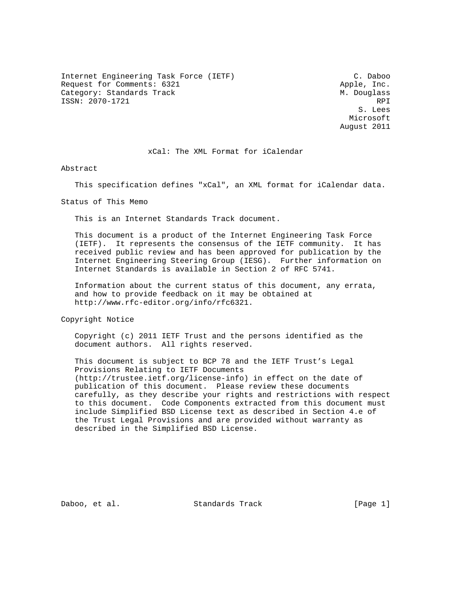Internet Engineering Task Force (IETF) C. Daboo Request for Comments: 6321 Apple, Inc. Category: Standards Track M. Douglass ISSN: 2070-1721 RPI

 S. Lees Microsoft August 2011

xCal: The XML Format for iCalendar

Abstract

This specification defines "xCal", an XML format for iCalendar data.

Status of This Memo

This is an Internet Standards Track document.

 This document is a product of the Internet Engineering Task Force (IETF). It represents the consensus of the IETF community. It has received public review and has been approved for publication by the Internet Engineering Steering Group (IESG). Further information on Internet Standards is available in Section 2 of RFC 5741.

 Information about the current status of this document, any errata, and how to provide feedback on it may be obtained at http://www.rfc-editor.org/info/rfc6321.

Copyright Notice

 Copyright (c) 2011 IETF Trust and the persons identified as the document authors. All rights reserved.

 This document is subject to BCP 78 and the IETF Trust's Legal Provisions Relating to IETF Documents (http://trustee.ietf.org/license-info) in effect on the date of publication of this document. Please review these documents carefully, as they describe your rights and restrictions with respect to this document. Code Components extracted from this document must include Simplified BSD License text as described in Section 4.e of the Trust Legal Provisions and are provided without warranty as described in the Simplified BSD License.

Daboo, et al. Standards Track [Page 1]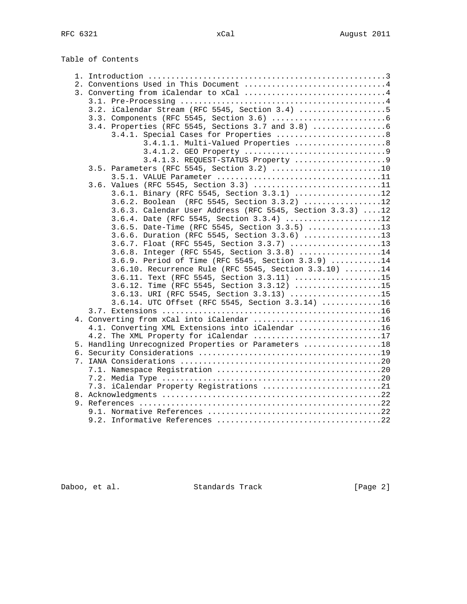Table of Contents

| 2. Conventions Used in This Document 4                                                                |
|-------------------------------------------------------------------------------------------------------|
|                                                                                                       |
|                                                                                                       |
| 3.2. iCalendar Stream (RFC 5545, Section 3.4) 5                                                       |
|                                                                                                       |
| 3.4. Properties (RFC 5545, Sections 3.7 and 3.8)                                                      |
| 3.4.1. Special Cases for Properties 8                                                                 |
| 3.4.1.1. Multi-Valued Properties 8                                                                    |
|                                                                                                       |
| 3.4.1.3. REQUEST-STATUS Property 9                                                                    |
| 3.5. Parameters (RFC 5545, Section 3.2) 10                                                            |
|                                                                                                       |
| 3.6. Values (RFC 5545, Section 3.3) 11                                                                |
| 3.6.1. Binary (RFC 5545, Section 3.3.1) 12                                                            |
| 3.6.2. Boolean (RFC 5545, Section 3.3.2) 12                                                           |
| 3.6.3. Calendar User Address (RFC 5545, Section 3.3.3) 12<br>3.6.4. Date (RFC 5545, Section 3.3.4) 12 |
| 3.6.5. Date-Time (RFC 5545, Section 3.3.5) 13                                                         |
| 3.6.6. Duration (RFC 5545, Section 3.3.6) 13                                                          |
| 3.6.7. Float (RFC 5545, Section 3.3.7) 13                                                             |
| 3.6.8. Integer (RFC 5545, Section 3.3.8) 14                                                           |
| 3.6.9. Period of Time (RFC 5545, Section 3.3.9) 14                                                    |
| 3.6.10. Recurrence Rule (RFC 5545, Section 3.3.10) 14                                                 |
| 3.6.11. Text (RFC 5545, Section 3.3.11) 15                                                            |
| 3.6.12. Time (RFC 5545, Section 3.3.12) 15                                                            |
| 3.6.13. URI (RFC 5545, Section 3.3.13) 15                                                             |
| 3.6.14. UTC Offset (RFC 5545, Section 3.3.14) 16                                                      |
|                                                                                                       |
| 4. Converting from xCal into iCalendar 16                                                             |
| 4.1. Converting XML Extensions into iCalendar 16                                                      |
| 4.2. The XML Property for iCalendar 17                                                                |
| 5. Handling Unrecognized Properties or Parameters 18                                                  |
|                                                                                                       |
|                                                                                                       |
|                                                                                                       |
|                                                                                                       |
| 7.3. iCalendar Property Registrations 21                                                              |
|                                                                                                       |
|                                                                                                       |
|                                                                                                       |
|                                                                                                       |

Daboo, et al. Standards Track [Page 2]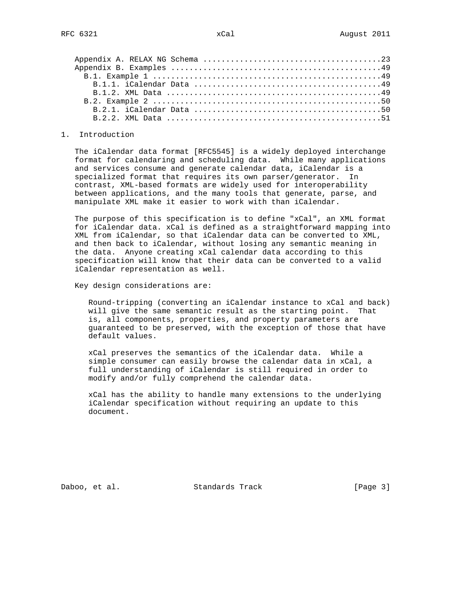#### 1. Introduction

 The iCalendar data format [RFC5545] is a widely deployed interchange format for calendaring and scheduling data. While many applications and services consume and generate calendar data, iCalendar is a specialized format that requires its own parser/generator. In contrast, XML-based formats are widely used for interoperability between applications, and the many tools that generate, parse, and manipulate XML make it easier to work with than iCalendar.

 The purpose of this specification is to define "xCal", an XML format for iCalendar data. xCal is defined as a straightforward mapping into XML from iCalendar, so that iCalendar data can be converted to XML, and then back to iCalendar, without losing any semantic meaning in the data. Anyone creating xCal calendar data according to this specification will know that their data can be converted to a valid iCalendar representation as well.

Key design considerations are:

 Round-tripping (converting an iCalendar instance to xCal and back) will give the same semantic result as the starting point. That is, all components, properties, and property parameters are guaranteed to be preserved, with the exception of those that have default values.

 xCal preserves the semantics of the iCalendar data. While a simple consumer can easily browse the calendar data in xCal, a full understanding of iCalendar is still required in order to modify and/or fully comprehend the calendar data.

 xCal has the ability to handle many extensions to the underlying iCalendar specification without requiring an update to this document.

Daboo, et al. Standards Track [Page 3]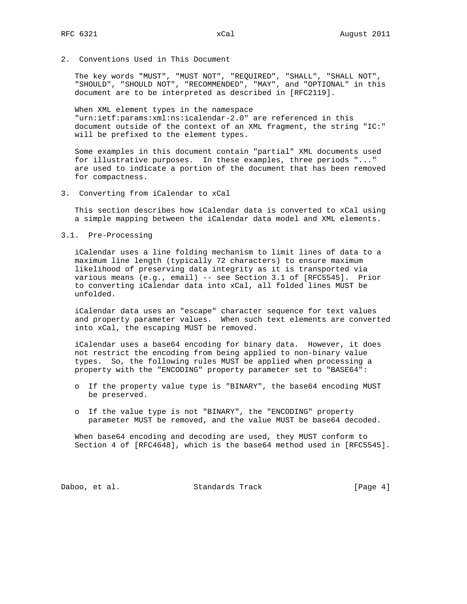2. Conventions Used in This Document

 The key words "MUST", "MUST NOT", "REQUIRED", "SHALL", "SHALL NOT", "SHOULD", "SHOULD NOT", "RECOMMENDED", "MAY", and "OPTIONAL" in this document are to be interpreted as described in [RFC2119].

 When XML element types in the namespace "urn:ietf:params:xml:ns:icalendar-2.0" are referenced in this document outside of the context of an XML fragment, the string "IC:" will be prefixed to the element types.

 Some examples in this document contain "partial" XML documents used for illustrative purposes. In these examples, three periods "..." are used to indicate a portion of the document that has been removed for compactness.

3. Converting from iCalendar to xCal

 This section describes how iCalendar data is converted to xCal using a simple mapping between the iCalendar data model and XML elements.

3.1. Pre-Processing

 iCalendar uses a line folding mechanism to limit lines of data to a maximum line length (typically 72 characters) to ensure maximum likelihood of preserving data integrity as it is transported via various means (e.g., email) -- see Section 3.1 of [RFC5545]. Prior to converting iCalendar data into xCal, all folded lines MUST be unfolded.

 iCalendar data uses an "escape" character sequence for text values and property parameter values. When such text elements are converted into xCal, the escaping MUST be removed.

 iCalendar uses a base64 encoding for binary data. However, it does not restrict the encoding from being applied to non-binary value types. So, the following rules MUST be applied when processing a property with the "ENCODING" property parameter set to "BASE64":

- o If the property value type is "BINARY", the base64 encoding MUST be preserved.
- o If the value type is not "BINARY", the "ENCODING" property parameter MUST be removed, and the value MUST be base64 decoded.

 When base64 encoding and decoding are used, they MUST conform to Section 4 of [RFC4648], which is the base64 method used in [RFC5545].

Daboo, et al. Standards Track [Page 4]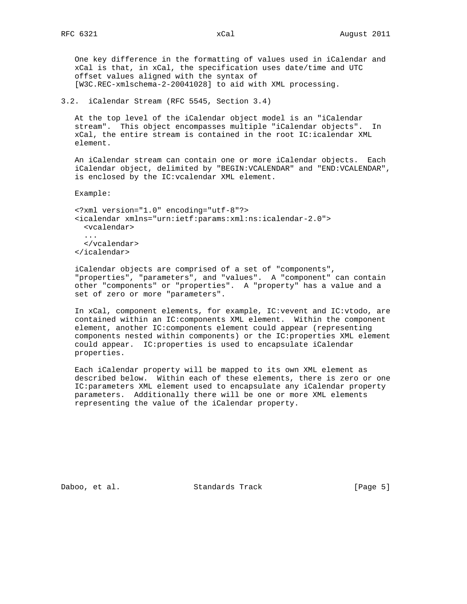One key difference in the formatting of values used in iCalendar and xCal is that, in xCal, the specification uses date/time and UTC offset values aligned with the syntax of [W3C.REC-xmlschema-2-20041028] to aid with XML processing.

3.2. iCalendar Stream (RFC 5545, Section 3.4)

 At the top level of the iCalendar object model is an "iCalendar stream". This object encompasses multiple "iCalendar objects". In xCal, the entire stream is contained in the root IC:icalendar XML element.

 An iCalendar stream can contain one or more iCalendar objects. Each iCalendar object, delimited by "BEGIN:VCALENDAR" and "END:VCALENDAR", is enclosed by the IC:vcalendar XML element.

Example:

 <?xml version="1.0" encoding="utf-8"?> <icalendar xmlns="urn:ietf:params:xml:ns:icalendar-2.0"> <vcalendar> ... </vcalendar> </icalendar>

 iCalendar objects are comprised of a set of "components", "properties", "parameters", and "values". A "component" can contain other "components" or "properties". A "property" has a value and a set of zero or more "parameters".

 In xCal, component elements, for example, IC:vevent and IC:vtodo, are contained within an IC:components XML element. Within the component element, another IC:components element could appear (representing components nested within components) or the IC:properties XML element could appear. IC:properties is used to encapsulate iCalendar properties.

 Each iCalendar property will be mapped to its own XML element as described below. Within each of these elements, there is zero or one IC:parameters XML element used to encapsulate any iCalendar property parameters. Additionally there will be one or more XML elements representing the value of the iCalendar property.

Daboo, et al. Standards Track [Page 5]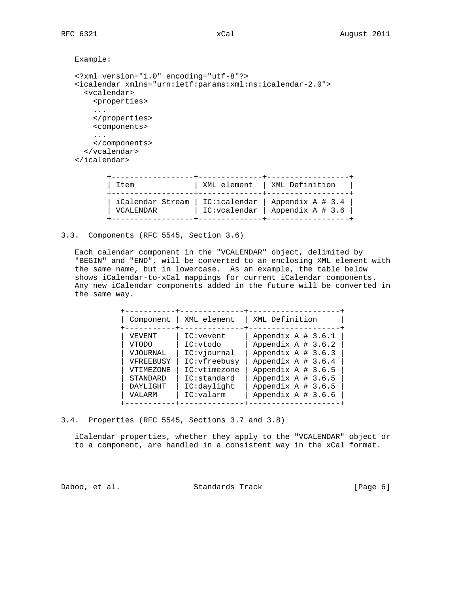```
 Example:
```

```
 <?xml version="1.0" encoding="utf-8"?>
 <icalendar xmlns="urn:ietf:params:xml:ns:icalendar-2.0">
   <vcalendar>
    <properties>
     ...
     </properties>
     <components>
     ...
     </components>
   </vcalendar>
 </icalendar>
        +------------------+--------------+------------------+
```

| Item                          | XML element   XML Definition                                         |
|-------------------------------|----------------------------------------------------------------------|
| iCalendar Stream<br>VCALENDAR | IC:icalendar   Appendix A # 3.4  <br>IC:vcalendar   Appendix A # 3.6 |

3.3. Components (RFC 5545, Section 3.6)

 Each calendar component in the "VCALENDAR" object, delimited by "BEGIN" and "END", will be converted to an enclosing XML element with the same name, but in lowercase. As an example, the table below shows iCalendar-to-xCal mappings for current iCalendar components. Any new iCalendar components added in the future will be converted in the same way.

| Component       | XML element   | XML Definition        |
|-----------------|---------------|-----------------------|
| VEVENT          | IC:event      | Appendix $A \# 3.6.1$ |
| VTODO           | IC:vtodo      | Appendix $A \# 3.6.2$ |
| <b>VJOURNAL</b> | IC:viournal   | Appendix $A \# 3.6.3$ |
| VFREEBUSY       | IC: vfreebusy | Appendix $A \# 3.6.4$ |
| VTIMEZONE       | IC:vtimezone  | Appendix $A \# 3.6.5$ |
| STANDARD        | IC: standard  | Appendix $A \# 3.6.5$ |
| DAYLIGHT        | IC:daylight   | Appendix $A \# 3.6.5$ |
| VALARM          | IC:valarm     | Appendix $A \# 3.6.6$ |

3.4. Properties (RFC 5545, Sections 3.7 and 3.8)

 iCalendar properties, whether they apply to the "VCALENDAR" object or to a component, are handled in a consistent way in the xCal format.

Daboo, et al. Standards Track [Page 6]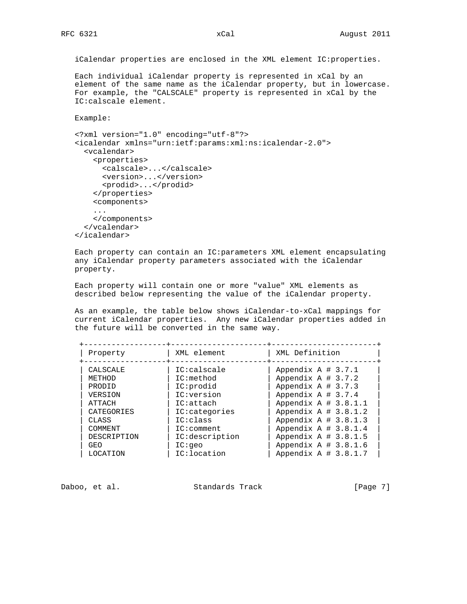iCalendar properties are enclosed in the XML element IC:properties.

 Each individual iCalendar property is represented in xCal by an element of the same name as the iCalendar property, but in lowercase. For example, the "CALSCALE" property is represented in xCal by the IC:calscale element.

Example:

```
 <?xml version="1.0" encoding="utf-8"?>
 <icalendar xmlns="urn:ietf:params:xml:ns:icalendar-2.0">
   <vcalendar>
     <properties>
       <calscale>...</calscale>
       <version>...</version>
       <prodid>...</prodid>
     </properties>
     <components>
     ...
     </components>
   </vcalendar>
 </icalendar>
```
 Each property can contain an IC:parameters XML element encapsulating any iCalendar property parameters associated with the iCalendar property.

 Each property will contain one or more "value" XML elements as described below representing the value of the iCalendar property.

 As an example, the table below shows iCalendar-to-xCal mappings for current iCalendar properties. Any new iCalendar properties added in the future will be converted in the same way.

| Property     | XML element      | XML Definition          |
|--------------|------------------|-------------------------|
| CALSCALE     | IC:calscale      | Appendix $A \# 3.7.1$   |
| METHOD       | IC:method        | Appendix $A \# 3.7.2$   |
| PRODID       | IC:prodid        | Appendix $A \# 3.7.3$   |
| VERSION      | IC:version       | Appendix $A \# 3.7.4$   |
| ATTACH       | IC:attach        | Appendix A $# 3.8.1.1$  |
| CATEGORIES   | $IC:$ categories | Appendix A $# 3.8.1.2$  |
| <b>CLASS</b> | IC:class         | Appendix $A \# 3.8.1.3$ |
| COMMENT      | IC:comment       | Appendix A $# 3.8.1.4$  |
| DESCRIPTION  | IC:description   | Appendix $A \# 3.8.1.5$ |
| GEO          | IC: qeo          | Appendix $A \# 3.8.1.6$ |
| LOCATION     | IC:location      | Appendix A $# 3.8.1.7$  |

Daboo, et al. Standards Track [Page 7]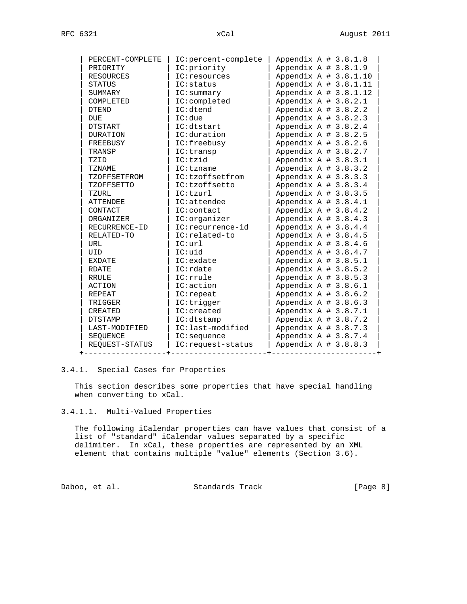| PERCENT-COMPLETE  | IC: percent-complete | Appendix $A \# 3.8.1.8$  |  |
|-------------------|----------------------|--------------------------|--|
| PRIORITY          | IC: priority         | Appendix $A \# 3.8.1.9$  |  |
| RESOURCES         | $IC:$ resources      | Appendix $A \# 3.8.1.10$ |  |
| <b>STATUS</b>     | IC: status           | Appendix $A \# 3.8.1.11$ |  |
| SUMMARY           | IC:summary           | Appendix $A \# 3.8.1.12$ |  |
| COMPLETED         | IC:completed         | Appendix $A \# 3.8.2.1$  |  |
| DTEND             | IC:dtend             | Appendix A $# 3.8.2.2$   |  |
| <b>DUE</b>        | IC:due               | Appendix A # 3.8.2.3     |  |
| DTSTART           | IC:dtstart           | Appendix A $# 3.8.2.4$   |  |
| DURATION          | IC:duration          | Appendix $A \# 3.8.2.5$  |  |
| FREEBUSY          | IC:freebusy          | Appendix $A \# 3.8.2.6$  |  |
| TRANSP            | IC:transp            | Appendix $A \# 3.8.2.7$  |  |
| TZID              | IC:tzid              | Appendix $A \# 3.8.3.1$  |  |
| <b>TZNAME</b>     | IC:tzname            | Appendix $A \# 3.8.3.2$  |  |
| TZOFFSETFROM      | IC:tzoffsetfrom      | Appendix $A \# 3.8.3.3$  |  |
| <b>TZOFFSETTO</b> | IC:tzoffsetto        | Appendix A # 3.8.3.4     |  |
| TZURL             | IC:tzurl             | Appendix A # 3.8.3.5     |  |
| <b>ATTENDEE</b>   | IC:attendee          | Appendix $A \# 3.8.4.1$  |  |
| CONTACT           | IC:contact           | Appendix $A \# 3.8.4.2$  |  |
| ORGANIZER         | IC:orqanizer         | Appendix $A \# 3.8.4.3$  |  |
| RECURRENCE-ID     | IC:recurrence-id     | Appendix $A \# 3.8.4.4$  |  |
| RELATED-TO        | IC:related-to        | Appendix $A \# 3.8.4.5$  |  |
| URL               | IC:url               | Appendix $A \# 3.8.4.6$  |  |
| UID               | IC:uid               | Appendix $A \# 3.8.4.7$  |  |
| <b>EXDATE</b>     | IC: exdate           | Appendix $A \# 3.8.5.1$  |  |
| <b>RDATE</b>      | IC:rdate             | Appendix $A \# 3.8.5.2$  |  |
| <b>RRULE</b>      | IC:rrule             | Appendix A # 3.8.5.3     |  |
| ACTION            | IC:action            | Appendix A # 3.8.6.1     |  |
| REPEAT            | IC:repeat            | Appendix A # 3.8.6.2     |  |
| TRIGGER           | IC:trigger           | Appendix A # 3.8.6.3     |  |
| <b>CREATED</b>    | IC:created           | Appendix A $# 3.8.7.1$   |  |
| <b>DTSTAMP</b>    | IC:dtstamp           | Appendix $A \# 3.8.7.2$  |  |
| LAST-MODIFIED     | IC:last-modified     | Appendix A $# 3.8.7.3$   |  |
| SEQUENCE          | IC: sequence         | Appendix A $# 3.8.7.4$   |  |
| REQUEST-STATUS    | IC: request-status   | Appendix $A \# 3.8.8.3$  |  |
|                   |                      |                          |  |

## 3.4.1. Special Cases for Properties

 This section describes some properties that have special handling when converting to xCal.

# 3.4.1.1. Multi-Valued Properties

 The following iCalendar properties can have values that consist of a list of "standard" iCalendar values separated by a specific delimiter. In xCal, these properties are represented by an XML element that contains multiple "value" elements (Section 3.6).

Daboo, et al. Standards Track [Page 8]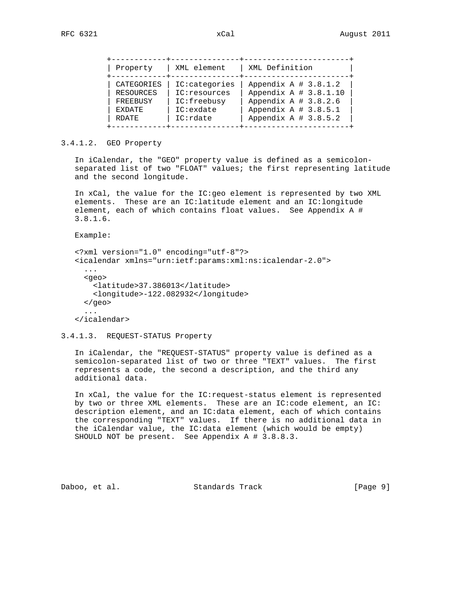| Property                                                             |
|----------------------------------------------------------------------|
| CATEGORIES<br><b>RESOURCES</b><br>FREEBUSY<br><b>EXDATE</b><br>RDATE |

# 3.4.1.2. GEO Property

 In iCalendar, the "GEO" property value is defined as a semicolon separated list of two "FLOAT" values; the first representing latitude and the second longitude.

 In xCal, the value for the IC:geo element is represented by two XML elements. These are an IC:latitude element and an IC:longitude element, each of which contains float values. See Appendix A # 3.8.1.6.

Example:

```
 <?xml version="1.0" encoding="utf-8"?>
 <icalendar xmlns="urn:ietf:params:xml:ns:icalendar-2.0">
   ...
   <geo>
    <latitude>37.386013</latitude>
    <longitude>-122.082932</longitude>
   </geo>
   ...
 </icalendar>
```
3.4.1.3. REQUEST-STATUS Property

 In iCalendar, the "REQUEST-STATUS" property value is defined as a semicolon-separated list of two or three "TEXT" values. The first represents a code, the second a description, and the third any additional data.

 In xCal, the value for the IC:request-status element is represented by two or three XML elements. These are an IC:code element, an IC: description element, and an IC:data element, each of which contains the corresponding "TEXT" values. If there is no additional data in the iCalendar value, the IC:data element (which would be empty) SHOULD NOT be present. See Appendix A # 3.8.8.3.

Daboo, et al. Standards Track [Page 9]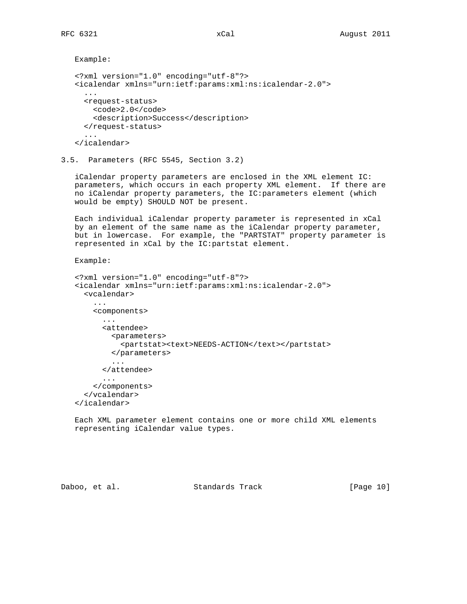```
 Example:
 <?xml version="1.0" encoding="utf-8"?>
 <icalendar xmlns="urn:ietf:params:xml:ns:icalendar-2.0">
   ...
   <request-status>
   <code>2.0</code>
     <description>Success</description>
   </request-status>
   ...
 </icalendar>
```
3.5. Parameters (RFC 5545, Section 3.2)

 iCalendar property parameters are enclosed in the XML element IC: parameters, which occurs in each property XML element. If there are no iCalendar property parameters, the IC:parameters element (which would be empty) SHOULD NOT be present.

 Each individual iCalendar property parameter is represented in xCal by an element of the same name as the iCalendar property parameter, but in lowercase. For example, the "PARTSTAT" property parameter is represented in xCal by the IC:partstat element.

#### Example:

```
 <?xml version="1.0" encoding="utf-8"?>
   <icalendar xmlns="urn:ietf:params:xml:ns:icalendar-2.0">
      <vcalendar>
        ...
        <components>
          ...
          <attendee>
            <parameters>
              <partstat><text>NEEDS-ACTION</text></partstat>
           </parameters>
 ...
          </attendee>
          ...
        </components>
      </vcalendar>
   </icalendar>
```
 Each XML parameter element contains one or more child XML elements representing iCalendar value types.

Daboo, et al. Standards Track [Page 10]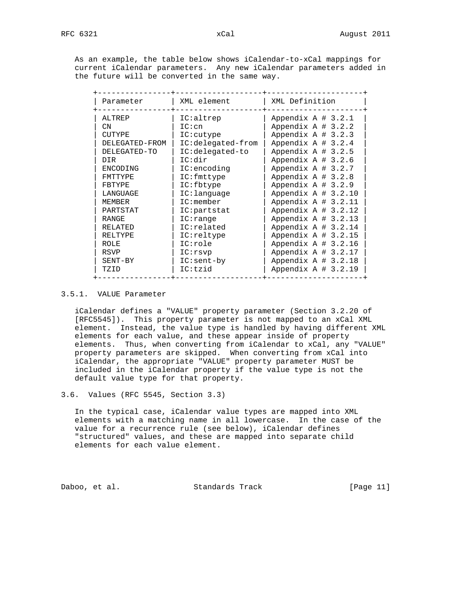As an example, the table below shows iCalendar-to-xCal mappings for current iCalendar parameters. Any new iCalendar parameters added in the future will be converted in the same way.

| Parameter      | XML element                        | XML Definition         |
|----------------|------------------------------------|------------------------|
| ALTREP         | IC:altrep                          | Appendix $A \# 3.2.1$  |
| CN.            | IC:cn                              | Appendix $A \# 3.2.2$  |
| <b>CUTYPE</b>  | $IC:$ cutype                       | Appendix $A \# 3.2.3$  |
| DELEGATED-FROM | IC:delegated-from                  | Appendix $A \# 3.2.4$  |
| DELEGATED-TO   | IC:delegated-to                    | Appendix $A \# 3.2.5$  |
| DTR.           | IC:dir                             | Appendix A # 3.2.6     |
| ENCODING       | IC:encoding                        | Appendix $A \# 3.2.7$  |
| <b>FMTTYPF</b> | $IC:$ fmttype                      | Appendix $A \# 3.2.8$  |
| FBTYPE         | IC:fbtype                          | Appendix $A \# 3.2.9$  |
| LANGUAGE       | $IC:\lbrack\text{language}\rbrack$ | Appendix A $# 3.2.10$  |
| <b>MEMBER</b>  | IC:member                          | Appendix $A \# 3.2.11$ |
| PARTSTAT       | IC:partstat                        | Appendix $A \# 3.2.12$ |
| RANGE          | IC:range                           | Appendix A $# 3.2.13$  |
| RELATED        | IC:related                         | Appendix A # 3.2.14    |
| RELTYPE        | IC:reltype                         | Appendix $A \# 3.2.15$ |
| ROLE           | IC:role                            | Appendix $A \# 3.2.16$ |
| RSVP           | IC:rsvp                            | Appendix $A \# 3.2.17$ |
| SENT-BY        | $IC:sent-by$                       | Appendix A $# 3.2.18$  |
| TZID           | IC:tzid                            | Appendix A $# 3.2.19$  |

### 3.5.1. VALUE Parameter

 iCalendar defines a "VALUE" property parameter (Section 3.2.20 of [RFC5545]). This property parameter is not mapped to an xCal XML element. Instead, the value type is handled by having different XML elements for each value, and these appear inside of property elements. Thus, when converting from iCalendar to xCal, any "VALUE" property parameters are skipped. When converting from xCal into iCalendar, the appropriate "VALUE" property parameter MUST be included in the iCalendar property if the value type is not the default value type for that property.

3.6. Values (RFC 5545, Section 3.3)

 In the typical case, iCalendar value types are mapped into XML elements with a matching name in all lowercase. In the case of the value for a recurrence rule (see below), iCalendar defines "structured" values, and these are mapped into separate child elements for each value element.

Daboo, et al. Standards Track [Page 11]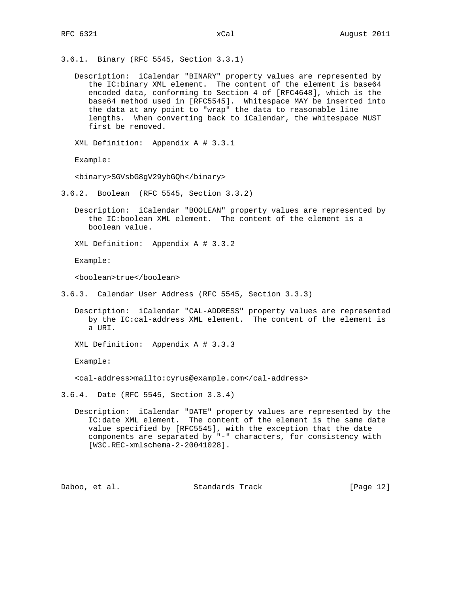- 3.6.1. Binary (RFC 5545, Section 3.3.1)
	- Description: iCalendar "BINARY" property values are represented by the IC:binary XML element. The content of the element is base64 encoded data, conforming to Section 4 of [RFC4648], which is the base64 method used in [RFC5545]. Whitespace MAY be inserted into the data at any point to "wrap" the data to reasonable line lengths. When converting back to iCalendar, the whitespace MUST first be removed.

XML Definition: Appendix A # 3.3.1

Example:

<binary>SGVsbG8gV29ybGQh</binary>

- 3.6.2. Boolean (RFC 5545, Section 3.3.2)
	- Description: iCalendar "BOOLEAN" property values are represented by the IC:boolean XML element. The content of the element is a boolean value.
	- XML Definition: Appendix A # 3.3.2

Example:

<boolean>true</boolean>

- 3.6.3. Calendar User Address (RFC 5545, Section 3.3.3)
	- Description: iCalendar "CAL-ADDRESS" property values are represented by the IC:cal-address XML element. The content of the element is a URI.

XML Definition: Appendix A # 3.3.3

Example:

<cal-address>mailto:cyrus@example.com</cal-address>

3.6.4. Date (RFC 5545, Section 3.3.4)

 Description: iCalendar "DATE" property values are represented by the IC:date XML element. The content of the element is the same date value specified by [RFC5545], with the exception that the date components are separated by "-" characters, for consistency with [W3C.REC-xmlschema-2-20041028].

Daboo, et al. Standards Track [Page 12]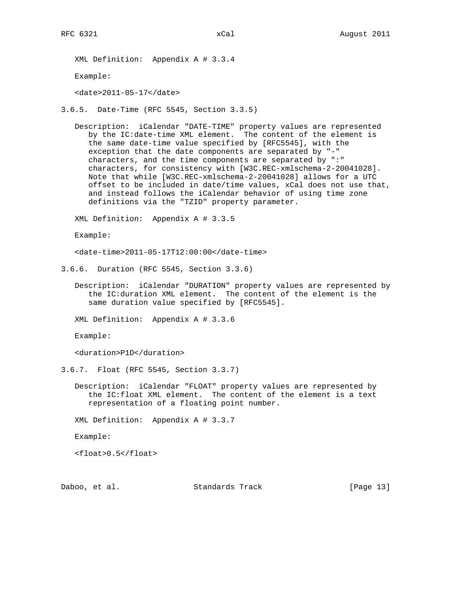XML Definition: Appendix A # 3.3.4

Example:

<date>2011-05-17</date>

3.6.5. Date-Time (RFC 5545, Section 3.3.5)

 Description: iCalendar "DATE-TIME" property values are represented by the IC:date-time XML element. The content of the element is the same date-time value specified by [RFC5545], with the exception that the date components are separated by "-" characters, and the time components are separated by ":" characters, for consistency with [W3C.REC-xmlschema-2-20041028]. Note that while [W3C.REC-xmlschema-2-20041028] allows for a UTC offset to be included in date/time values, xCal does not use that, and instead follows the iCalendar behavior of using time zone definitions via the "TZID" property parameter.

XML Definition: Appendix A # 3.3.5

Example:

<date-time>2011-05-17T12:00:00</date-time>

3.6.6. Duration (RFC 5545, Section 3.3.6)

 Description: iCalendar "DURATION" property values are represented by the IC:duration XML element. The content of the element is the same duration value specified by [RFC5545].

XML Definition: Appendix A # 3.3.6

Example:

<duration>P1D</duration>

3.6.7. Float (RFC 5545, Section 3.3.7)

 Description: iCalendar "FLOAT" property values are represented by the IC:float XML element. The content of the element is a text representation of a floating point number.

XML Definition: Appendix A # 3.3.7

Example:

<float>0.5</float>

Daboo, et al. Standards Track [Page 13]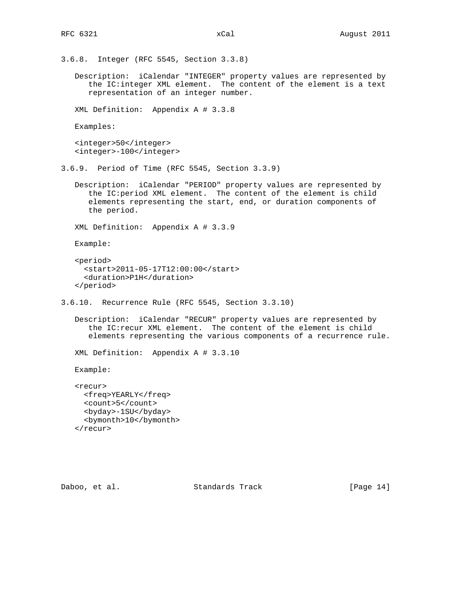3.6.8. Integer (RFC 5545, Section 3.3.8)

 Description: iCalendar "INTEGER" property values are represented by the IC:integer XML element. The content of the element is a text representation of an integer number.

XML Definition: Appendix A # 3.3.8

Examples:

 <integer>50</integer> <integer>-100</integer>

3.6.9. Period of Time (RFC 5545, Section 3.3.9)

 Description: iCalendar "PERIOD" property values are represented by the IC:period XML element. The content of the element is child elements representing the start, end, or duration components of the period.

XML Definition: Appendix A # 3.3.9

Example:

```
 <period>
   <start>2011-05-17T12:00:00</start>
   <duration>P1H</duration>
 </period>
```
3.6.10. Recurrence Rule (RFC 5545, Section 3.3.10)

 Description: iCalendar "RECUR" property values are represented by the IC:recur XML element. The content of the element is child elements representing the various components of a recurrence rule.

XML Definition: Appendix A # 3.3.10

Example:

 <recur> <freq>YEARLY</freq> <count>5</count> <byday>-1SU</byday> <bymonth>10</bymonth> </recur>

Daboo, et al. Standards Track [Page 14]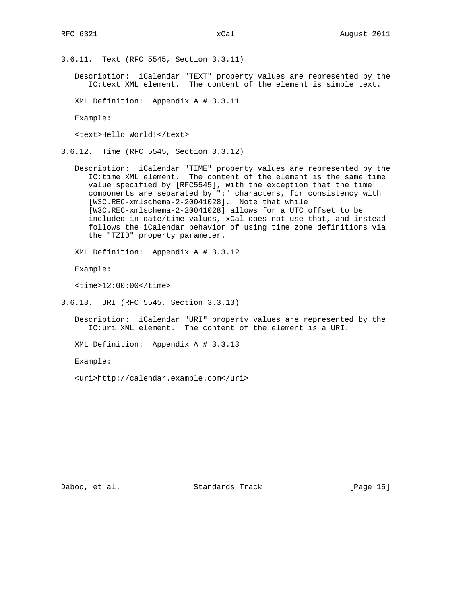3.6.11. Text (RFC 5545, Section 3.3.11)

 Description: iCalendar "TEXT" property values are represented by the IC:text XML element. The content of the element is simple text.

XML Definition: Appendix A # 3.3.11

Example:

<text>Hello World!</text>

3.6.12. Time (RFC 5545, Section 3.3.12)

 Description: iCalendar "TIME" property values are represented by the IC:time XML element. The content of the element is the same time value specified by [RFC5545], with the exception that the time components are separated by ":" characters, for consistency with [W3C.REC-xmlschema-2-20041028]. Note that while [W3C.REC-xmlschema-2-20041028] allows for a UTC offset to be included in date/time values, xCal does not use that, and instead follows the iCalendar behavior of using time zone definitions via the "TZID" property parameter.

XML Definition: Appendix A # 3.3.12

Example:

<time>12:00:00</time>

3.6.13. URI (RFC 5545, Section 3.3.13)

 Description: iCalendar "URI" property values are represented by the IC:uri XML element. The content of the element is a URI.

XML Definition: Appendix A # 3.3.13

Example:

<uri>http://calendar.example.com</uri>

Daboo, et al. Standards Track [Page 15]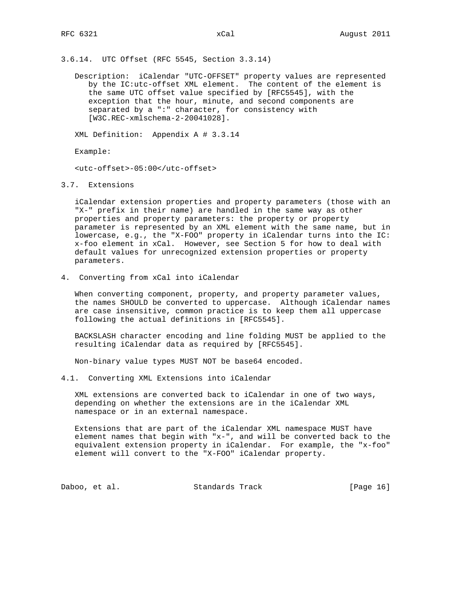3.6.14. UTC Offset (RFC 5545, Section 3.3.14)

 Description: iCalendar "UTC-OFFSET" property values are represented by the IC:utc-offset XML element. The content of the element is the same UTC offset value specified by [RFC5545], with the exception that the hour, minute, and second components are separated by a ":" character, for consistency with [W3C.REC-xmlschema-2-20041028].

XML Definition: Appendix A # 3.3.14

Example:

<utc-offset>-05:00</utc-offset>

3.7. Extensions

 iCalendar extension properties and property parameters (those with an "X-" prefix in their name) are handled in the same way as other properties and property parameters: the property or property parameter is represented by an XML element with the same name, but in lowercase, e.g., the "X-FOO" property in iCalendar turns into the IC: x-foo element in xCal. However, see Section 5 for how to deal with default values for unrecognized extension properties or property parameters.

4. Converting from xCal into iCalendar

 When converting component, property, and property parameter values, the names SHOULD be converted to uppercase. Although iCalendar names are case insensitive, common practice is to keep them all uppercase following the actual definitions in [RFC5545].

 BACKSLASH character encoding and line folding MUST be applied to the resulting iCalendar data as required by [RFC5545].

Non-binary value types MUST NOT be base64 encoded.

4.1. Converting XML Extensions into iCalendar

 XML extensions are converted back to iCalendar in one of two ways, depending on whether the extensions are in the iCalendar XML namespace or in an external namespace.

 Extensions that are part of the iCalendar XML namespace MUST have element names that begin with "x-", and will be converted back to the equivalent extension property in iCalendar. For example, the "x-foo" element will convert to the "X-FOO" iCalendar property.

Daboo, et al. Standards Track [Page 16]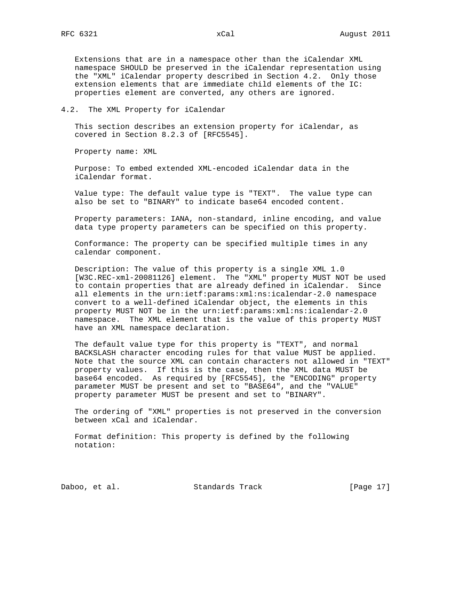Extensions that are in a namespace other than the iCalendar XML namespace SHOULD be preserved in the iCalendar representation using the "XML" iCalendar property described in Section 4.2. Only those extension elements that are immediate child elements of the IC: properties element are converted, any others are ignored.

#### 4.2. The XML Property for iCalendar

 This section describes an extension property for iCalendar, as covered in Section 8.2.3 of [RFC5545].

Property name: XML

 Purpose: To embed extended XML-encoded iCalendar data in the iCalendar format.

 Value type: The default value type is "TEXT". The value type can also be set to "BINARY" to indicate base64 encoded content.

 Property parameters: IANA, non-standard, inline encoding, and value data type property parameters can be specified on this property.

 Conformance: The property can be specified multiple times in any calendar component.

 Description: The value of this property is a single XML 1.0 [W3C.REC-xml-20081126] element. The "XML" property MUST NOT be used to contain properties that are already defined in iCalendar. Since all elements in the urn:ietf:params:xml:ns:icalendar-2.0 namespace convert to a well-defined iCalendar object, the elements in this property MUST NOT be in the urn:ietf:params:xml:ns:icalendar-2.0 namespace. The XML element that is the value of this property MUST have an XML namespace declaration.

 The default value type for this property is "TEXT", and normal BACKSLASH character encoding rules for that value MUST be applied. Note that the source XML can contain characters not allowed in "TEXT" property values. If this is the case, then the XML data MUST be base64 encoded. As required by [RFC5545], the "ENCODING" property parameter MUST be present and set to "BASE64", and the "VALUE" property parameter MUST be present and set to "BINARY".

 The ordering of "XML" properties is not preserved in the conversion between xCal and iCalendar.

 Format definition: This property is defined by the following notation:

Daboo, et al. Standards Track [Page 17]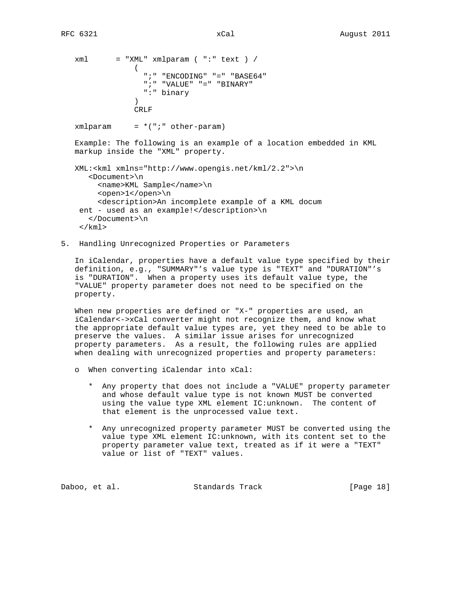```
xml = "XML" xmlparam ( "::" text ) /\overline{\phantom{a}} ";" "ENCODING" "=" "BASE64"
                   ";" "VALUE" "=" "BINARY"
                   ":" binary
 )
                 CRLF
  xmlparam = *(";" other-param) Example: The following is an example of a location embedded in KML
   markup inside the "XML" property.
   XML:<kml xmlns="http://www.opengis.net/kml/2.2">\n
      <Document>\n
       <name>KML Sample</name>\n
         <open>1</open>\n
         <description>An incomplete example of a KML docum
    ent - used as an example!</description>\n
      </Document>\n
   \langle / kml >
```
5. Handling Unrecognized Properties or Parameters

 In iCalendar, properties have a default value type specified by their definition, e.g., "SUMMARY"'s value type is "TEXT" and "DURATION"'s is "DURATION". When a property uses its default value type, the "VALUE" property parameter does not need to be specified on the property.

When new properties are defined or "X-" properties are used, an iCalendar<->xCal converter might not recognize them, and know what the appropriate default value types are, yet they need to be able to preserve the values. A similar issue arises for unrecognized property parameters. As a result, the following rules are applied when dealing with unrecognized properties and property parameters:

- o When converting iCalendar into xCal:
	- \* Any property that does not include a "VALUE" property parameter and whose default value type is not known MUST be converted using the value type XML element IC:unknown. The content of that element is the unprocessed value text.
	- \* Any unrecognized property parameter MUST be converted using the value type XML element IC:unknown, with its content set to the property parameter value text, treated as if it were a "TEXT" value or list of "TEXT" values.

| Daboo, et al.<br>Standards Track | [Page 18] |
|----------------------------------|-----------|
|----------------------------------|-----------|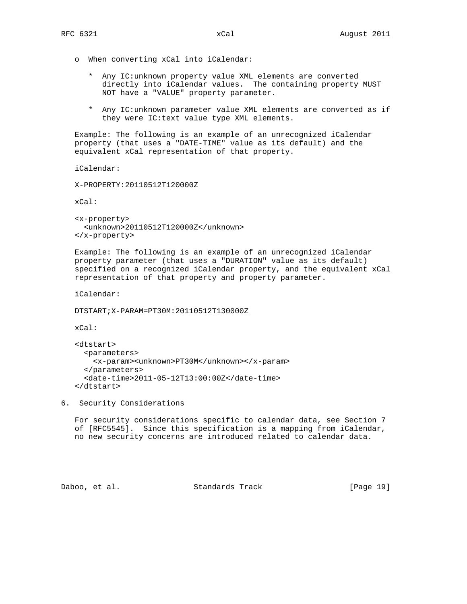- o When converting xCal into iCalendar:
	- \* Any IC:unknown property value XML elements are converted directly into iCalendar values. The containing property MUST NOT have a "VALUE" property parameter.
	- \* Any IC:unknown parameter value XML elements are converted as if they were IC:text value type XML elements.

 Example: The following is an example of an unrecognized iCalendar property (that uses a "DATE-TIME" value as its default) and the equivalent xCal representation of that property.

iCalendar:

X-PROPERTY:20110512T120000Z

xCal:

 <x-property> <unknown>20110512T120000Z</unknown> </x-property>

 Example: The following is an example of an unrecognized iCalendar property parameter (that uses a "DURATION" value as its default) specified on a recognized iCalendar property, and the equivalent xCal representation of that property and property parameter.

iCalendar:

DTSTART;X-PARAM=PT30M:20110512T130000Z

xCal:

```
 <dtstart>
  <parameters>
    <x-param><unknown>PT30M</unknown></x-param>
   </parameters>
   <date-time>2011-05-12T13:00:00Z</date-time>
 </dtstart>
```
6. Security Considerations

 For security considerations specific to calendar data, see Section 7 of [RFC5545]. Since this specification is a mapping from iCalendar, no new security concerns are introduced related to calendar data.

Daboo, et al. Standards Track [Page 19]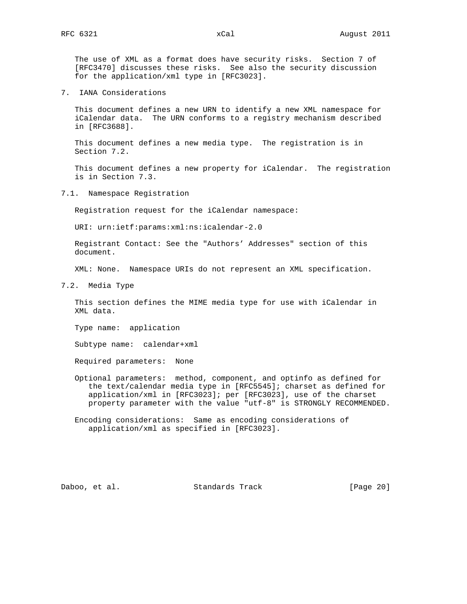The use of XML as a format does have security risks. Section 7 of [RFC3470] discusses these risks. See also the security discussion for the application/xml type in [RFC3023].

7. IANA Considerations

 This document defines a new URN to identify a new XML namespace for iCalendar data. The URN conforms to a registry mechanism described in [RFC3688].

 This document defines a new media type. The registration is in Section 7.2.

 This document defines a new property for iCalendar. The registration is in Section 7.3.

7.1. Namespace Registration

Registration request for the iCalendar namespace:

URI: urn:ietf:params:xml:ns:icalendar-2.0

 Registrant Contact: See the "Authors' Addresses" section of this document.

XML: None. Namespace URIs do not represent an XML specification.

7.2. Media Type

 This section defines the MIME media type for use with iCalendar in XML data.

Type name: application

Subtype name: calendar+xml

Required parameters: None

 Optional parameters: method, component, and optinfo as defined for the text/calendar media type in [RFC5545]; charset as defined for application/xml in [RFC3023]; per [RFC3023], use of the charset property parameter with the value "utf-8" is STRONGLY RECOMMENDED.

 Encoding considerations: Same as encoding considerations of application/xml as specified in [RFC3023].

Daboo, et al. Standards Track [Page 20]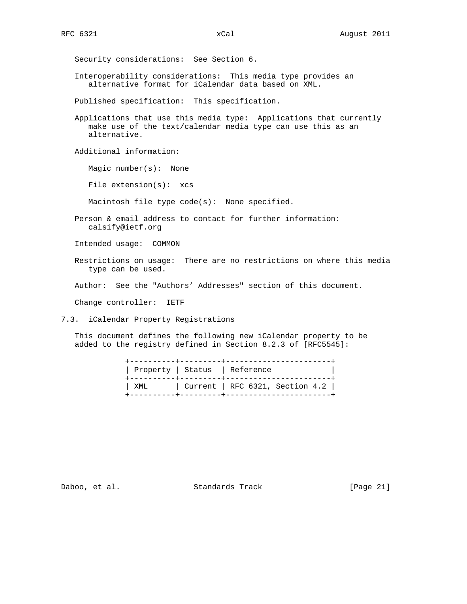Security considerations: See Section 6.

 Interoperability considerations: This media type provides an alternative format for iCalendar data based on XML.

Published specification: This specification.

 Applications that use this media type: Applications that currently make use of the text/calendar media type can use this as an alternative.

Additional information:

Magic number(s): None

File extension(s): xcs

Macintosh file type code(s): None specified.

 Person & email address to contact for further information: calsify@ietf.org

Intended usage: COMMON

 Restrictions on usage: There are no restrictions on where this media type can be used.

Author: See the "Authors' Addresses" section of this document.

Change controller: IETF

7.3. iCalendar Property Registrations

 This document defines the following new iCalendar property to be added to the registry defined in Section 8.2.3 of [RFC5545]:

|     | Property   Status   Reference<br>_________________________________ |  |
|-----|--------------------------------------------------------------------|--|
| XML | $\vert$ Current $\vert$ RFC 6321, Section 4.2 $\vert$              |  |

Daboo, et al. Standards Track [Page 21]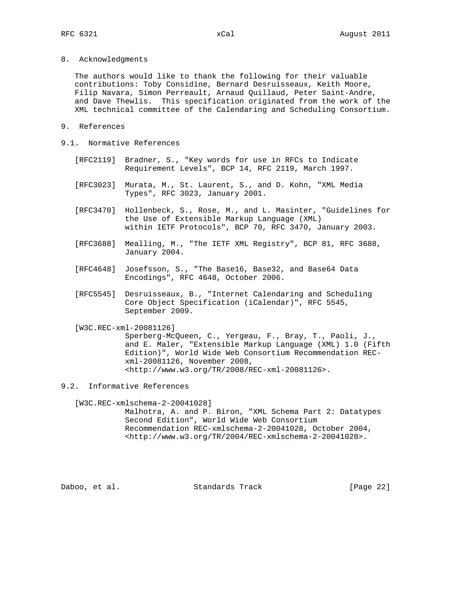8. Acknowledgments

 The authors would like to thank the following for their valuable contributions: Toby Considine, Bernard Desruisseaux, Keith Moore, Filip Navara, Simon Perreault, Arnaud Quillaud, Peter Saint-Andre, and Dave Thewlis. This specification originated from the work of the XML technical committee of the Calendaring and Scheduling Consortium.

- 9. References
- 9.1. Normative References
	- [RFC2119] Bradner, S., "Key words for use in RFCs to Indicate Requirement Levels", BCP 14, RFC 2119, March 1997.
	- [RFC3023] Murata, M., St. Laurent, S., and D. Kohn, "XML Media Types", RFC 3023, January 2001.
	- [RFC3470] Hollenbeck, S., Rose, M., and L. Masinter, "Guidelines for the Use of Extensible Markup Language (XML) within IETF Protocols", BCP 70, RFC 3470, January 2003.
	- [RFC3688] Mealling, M., "The IETF XML Registry", BCP 81, RFC 3688, January 2004.
	- [RFC4648] Josefsson, S., "The Base16, Base32, and Base64 Data Encodings", RFC 4648, October 2006.
	- [RFC5545] Desruisseaux, B., "Internet Calendaring and Scheduling Core Object Specification (iCalendar)", RFC 5545, September 2009.
	- [W3C.REC-xml-20081126]

 Sperberg-McQueen, C., Yergeau, F., Bray, T., Paoli, J., and E. Maler, "Extensible Markup Language (XML) 1.0 (Fifth Edition)", World Wide Web Consortium Recommendation REC xml-20081126, November 2008, <http://www.w3.org/TR/2008/REC-xml-20081126>.

9.2. Informative References

[W3C.REC-xmlschema-2-20041028]

 Malhotra, A. and P. Biron, "XML Schema Part 2: Datatypes Second Edition", World Wide Web Consortium Recommendation REC-xmlschema-2-20041028, October 2004, <http://www.w3.org/TR/2004/REC-xmlschema-2-20041028>.

Daboo, et al. Standards Track [Page 22]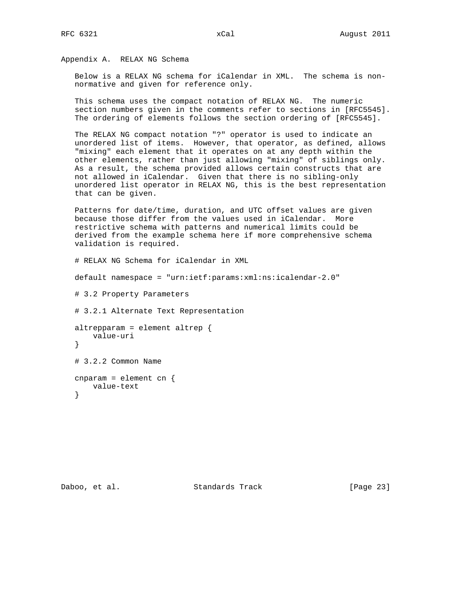Appendix A. RELAX NG Schema

 Below is a RELAX NG schema for iCalendar in XML. The schema is non normative and given for reference only.

 This schema uses the compact notation of RELAX NG. The numeric section numbers given in the comments refer to sections in [RFC5545]. The ordering of elements follows the section ordering of [RFC5545].

 The RELAX NG compact notation "?" operator is used to indicate an unordered list of items. However, that operator, as defined, allows "mixing" each element that it operates on at any depth within the other elements, rather than just allowing "mixing" of siblings only. As a result, the schema provided allows certain constructs that are not allowed in iCalendar. Given that there is no sibling-only unordered list operator in RELAX NG, this is the best representation that can be given.

 Patterns for date/time, duration, and UTC offset values are given because those differ from the values used in iCalendar. More restrictive schema with patterns and numerical limits could be derived from the example schema here if more comprehensive schema validation is required.

# RELAX NG Schema for iCalendar in XML

default namespace = "urn:ietf:params:xml:ns:icalendar-2.0"

# 3.2 Property Parameters

# 3.2.1 Alternate Text Representation

```
 altrepparam = element altrep {
    value-uri
 }
 # 3.2.2 Common Name
 cnparam = element cn {
    value-text
```
}

Daboo, et al. Standards Track [Page 23]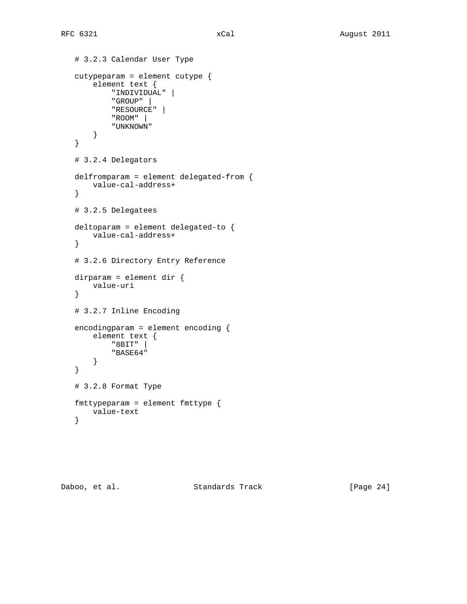```
 # 3.2.3 Calendar User Type
 cutypeparam = element cutype {
     element text {
          "INDIVIDUAL" |
          "GROUP" |
         "RESOURCE" |
         "ROOM" |
         "UNKNOWN"
     }
 }
 # 3.2.4 Delegators
 delfromparam = element delegated-from {
    value-cal-address+
 }
 # 3.2.5 Delegatees
 deltoparam = element delegated-to {
    value-cal-address+
 }
 # 3.2.6 Directory Entry Reference
 dirparam = element dir {
    value-uri
 }
 # 3.2.7 Inline Encoding
 encodingparam = element encoding {
     element text {
         "8BIT" |
         "BASE64"
    }
 }
 # 3.2.8 Format Type
 fmttypeparam = element fmttype {
    value-text
 }
```
Daboo, et al. Standards Track [Page 24]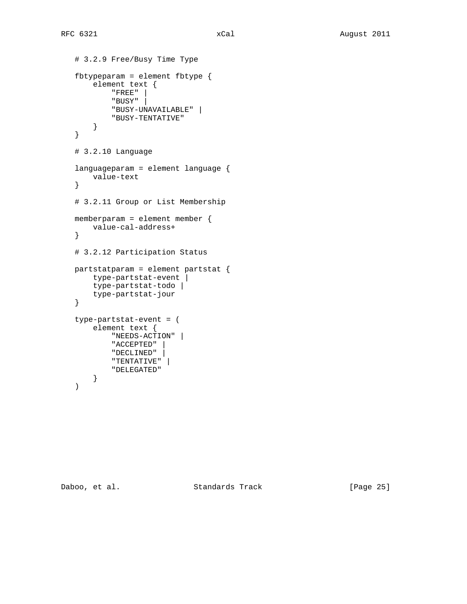```
 # 3.2.9 Free/Busy Time Type
 fbtypeparam = element fbtype {
     element text {
          "FREE" |
          "BUSY" |
         "BUSY-UNAVAILABLE" |
         "BUSY-TENTATIVE"
     }
 }
 # 3.2.10 Language
 languageparam = element language {
    value-text
 }
 # 3.2.11 Group or List Membership
 memberparam = element member {
    value-cal-address+
 }
 # 3.2.12 Participation Status
 partstatparam = element partstat {
     type-partstat-event |
     type-partstat-todo |
    type-partstat-jour
 }
 type-partstat-event = (
     element text {
         "NEEDS-ACTION" |
          "ACCEPTED" |
         "DECLINED" |
        "TENTATIVE" |
          "DELEGATED"
     }
 )
```
Daboo, et al. Standards Track [Page 25]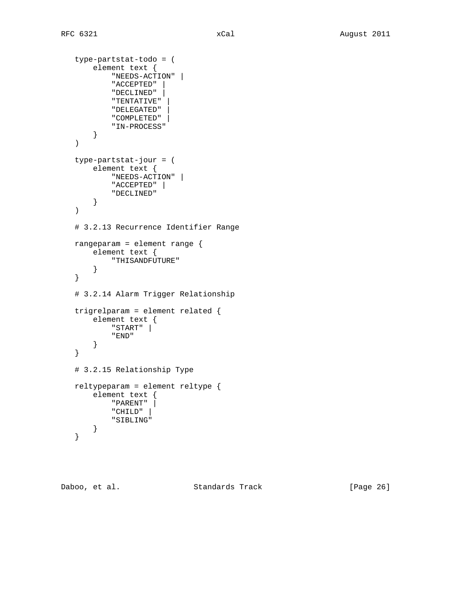```
 type-partstat-todo = (
     element text {
         "NEEDS-ACTION" |
          "ACCEPTED" |
          "DECLINED" |
          "TENTATIVE" |
          "DELEGATED" |
          "COMPLETED" |
          "IN-PROCESS"
     }
 )
 type-partstat-jour = (
    element text {
         "NEEDS-ACTION" |
          "ACCEPTED" |
         "DECLINED"
    }
 )
 # 3.2.13 Recurrence Identifier Range
 rangeparam = element range {
    element text {
         "THISANDFUTURE"
     }
 }
 # 3.2.14 Alarm Trigger Relationship
 trigrelparam = element related {
     element text {
         "START" |
         "END"
     }
 }
 # 3.2.15 Relationship Type
 reltypeparam = element reltype {
     element text {
         "PARENT" |
         "CHILD" |
         "SIBLING"
    }
 }
```
Daboo, et al. Standards Track [Page 26]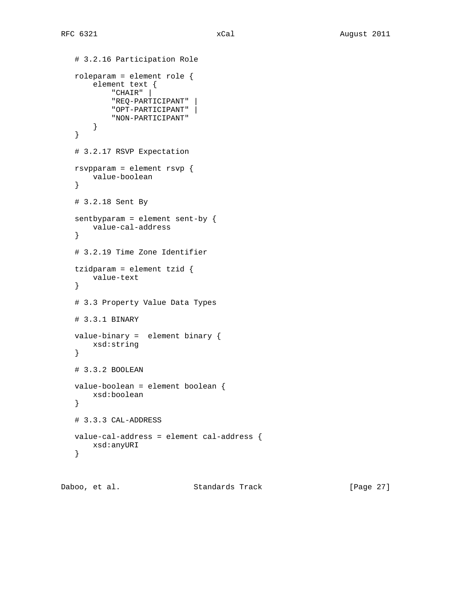```
 # 3.2.16 Participation Role
 roleparam = element role {
     element text {
         "CHAIR" |
         "REQ-PARTICIPANT" |
         "OPT-PARTICIPANT" |
         "NON-PARTICIPANT"
    }
 }
 # 3.2.17 RSVP Expectation
 rsvpparam = element rsvp {
    value-boolean
 }
 # 3.2.18 Sent By
 sentbyparam = element sent-by {
    value-cal-address
 }
 # 3.2.19 Time Zone Identifier
 tzidparam = element tzid {
    value-text
 }
 # 3.3 Property Value Data Types
 # 3.3.1 BINARY
 value-binary = element binary {
    xsd:string
 }
 # 3.3.2 BOOLEAN
 value-boolean = element boolean {
    xsd:boolean
 }
 # 3.3.3 CAL-ADDRESS
 value-cal-address = element cal-address {
    xsd:anyURI
 }
```
Daboo, et al. Standards Track [Page 27]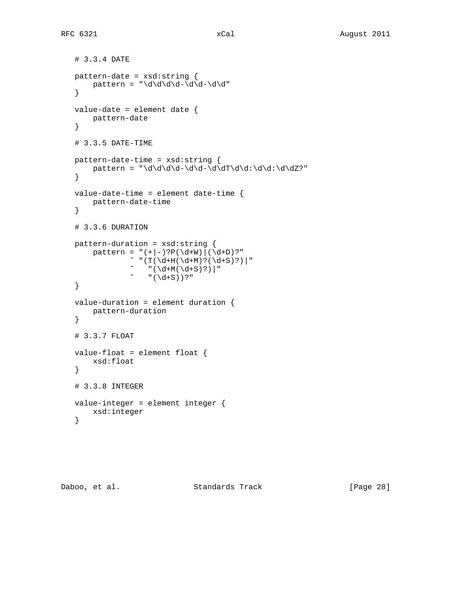```
 # 3.3.4 DATE
 pattern-date = xsd:string {
   pattern = "\d\d\d\d-\d\d-\d\d"
 }
 value-date = element date {
   pattern-date
 }
 # 3.3.5 DATE-TIME
 pattern-date-time = xsd:string {
 pattern = "\d\d\d\d-\d\d-\d\dT\d\d:\d\d:\d\dZ?"
 }
 value-date-time = element date-time {
   pattern-date-time
 }
 # 3.3.6 DURATION
 pattern-duration = xsd:string {
    pattern = "(+|-)?P(\d+W) | (\d+D)?"\sim "(T(\d+H(\d+M)?(\d+S)?)|"
            ~ " (\dagger M(\dagger S)?) |"
            ~ " ( \d+S) ) ?" }
 value-duration = element duration {
   pattern-duration
 }
 # 3.3.7 FLOAT
 value-float = element float {
    xsd:float
 }
 # 3.3.8 INTEGER
 value-integer = element integer {
   xsd:integer
 }
```
Daboo, et al. Standards Track [Page 28]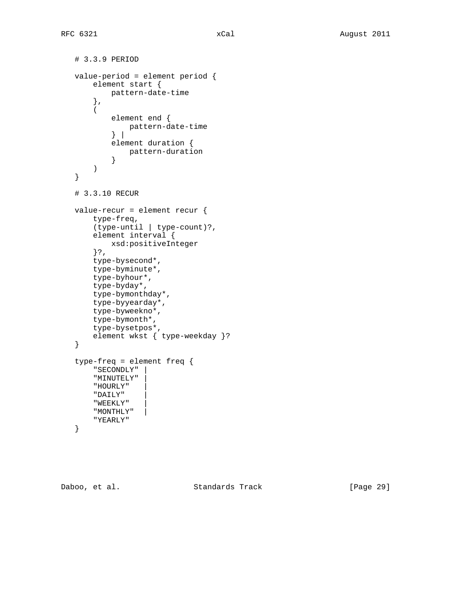```
 # 3.3.9 PERIOD
 value-period = element period {
     element start {
         pattern-date-time
     },
     (
         element end {
             pattern-date-time
          } |
         element duration {
          pattern-duration
         }
     )
 }
 # 3.3.10 RECUR
 value-recur = element recur {
     type-freq,
     (type-until | type-count)?,
     element interval {
         xsd:positiveInteger
     }?,
     type-bysecond*,
     type-byminute*,
     type-byhour*,
     type-byday*,
     type-bymonthday*,
     type-byyearday*,
     type-byweekno*,
     type-bymonth*,
     type-bysetpos*,
     element wkst { type-weekday }?
 }
 type-freq = element freq {
     "SECONDLY" |
     "MINUTELY" |
     "HOURLY" |
     "DAILY" |
     "WEEKLY" |
     "MONTHLY" |
     "YEARLY"
 }
```
Daboo, et al. Standards Track [Page 29]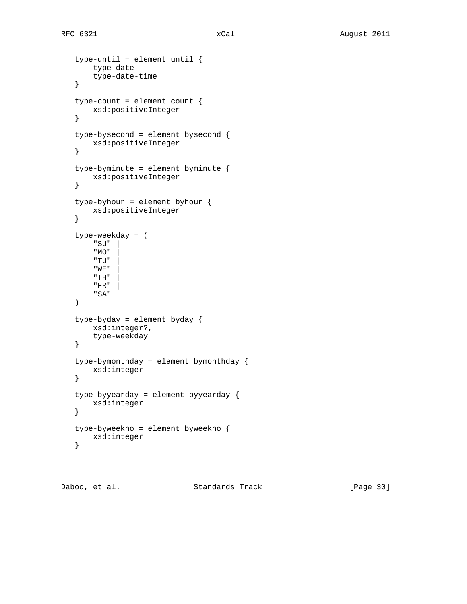```
 type-until = element until {
    type-date |
    type-date-time
 }
 type-count = element count {
    xsd:positiveInteger
 }
 type-bysecond = element bysecond {
    xsd:positiveInteger
 }
 type-byminute = element byminute {
    xsd:positiveInteger
 }
 type-byhour = element byhour {
    xsd:positiveInteger
 }
 type-weekday = (
    " SU " "MO" |
     "TU" |
    \lq ME \lq" TH^{\rm n}"FR" "SA"
 )
 type-byday = element byday {
    xsd:integer?,
    type-weekday
 }
 type-bymonthday = element bymonthday {
    xsd:integer
 }
 type-byyearday = element byyearday {
    xsd:integer
 }
 type-byweekno = element byweekno {
    xsd:integer
 }
```
Daboo, et al. Standards Track [Page 30]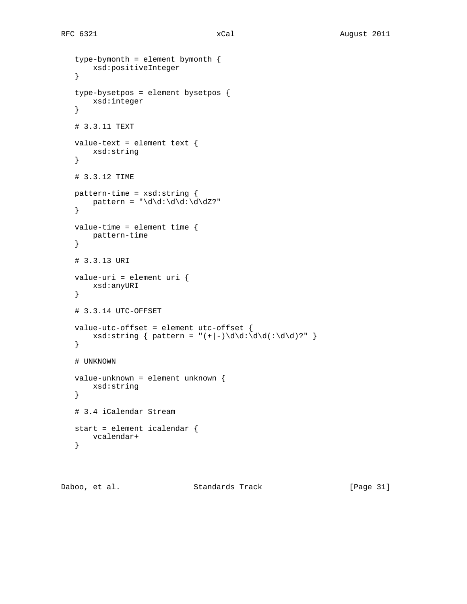```
 type-bymonth = element bymonth {
    xsd:positiveInteger
 }
 type-bysetpos = element bysetpos {
    xsd:integer
 }
 # 3.3.11 TEXT
 value-text = element text {
   xsd:string
 }
 # 3.3.12 TIME
 pattern-time = xsd:string {
 pattern = "\d\d:\d\d:\d\dZ?"
 }
 value-time = element time {
    pattern-time
 }
 # 3.3.13 URI
 value-uri = element uri {
    xsd:anyURI
 }
 # 3.3.14 UTC-OFFSET
 value-utc-offset = element utc-offset {
   xsd:string { pattern = "(+|-)\d\d:\d\d(:\d\d)?" }
 }
 # UNKNOWN
 value-unknown = element unknown {
    xsd:string
 }
 # 3.4 iCalendar Stream
 start = element icalendar {
   vcalendar+
 }
```
Daboo, et al. Standards Track [Page 31]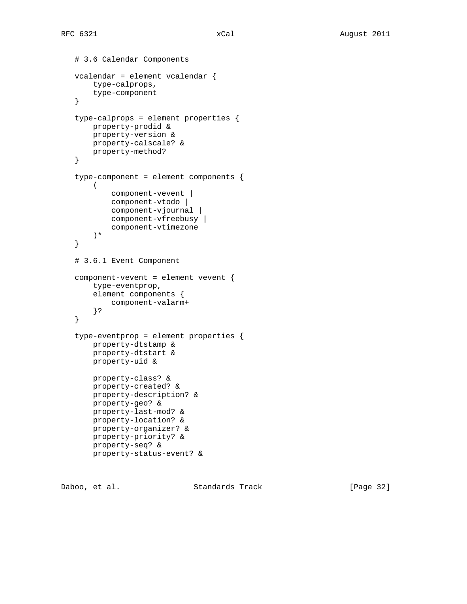```
 # 3.6 Calendar Components
 vcalendar = element vcalendar {
     type-calprops,
     type-component
 }
 type-calprops = element properties {
    property-prodid &
    property-version &
    property-calscale? &
    property-method?
 }
 type-component = element components {
   ( component-vevent |
         component-vtodo |
         component-vjournal |
         component-vfreebusy |
         component-vtimezone
     )*
 }
 # 3.6.1 Event Component
 component-vevent = element vevent {
     type-eventprop,
     element components {
         component-valarm+
     }?
 }
 type-eventprop = element properties {
     property-dtstamp &
     property-dtstart &
     property-uid &
     property-class? &
     property-created? &
     property-description? &
     property-geo? &
     property-last-mod? &
     property-location? &
     property-organizer? &
     property-priority? &
     property-seq? &
     property-status-event? &
```
Daboo, et al. Standards Track [Page 32]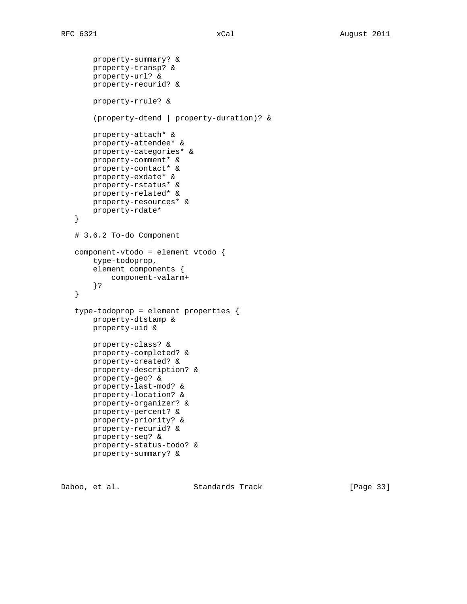```
 property-summary? &
     property-transp? &
     property-url? &
     property-recurid? &
     property-rrule? &
     (property-dtend | property-duration)? &
     property-attach* &
     property-attendee* &
     property-categories* &
     property-comment* &
     property-contact* &
     property-exdate* &
     property-rstatus* &
     property-related* &
    property-resources* &
    property-rdate*
 }
 # 3.6.2 To-do Component
 component-vtodo = element vtodo {
    type-todoprop,
     element components {
         component-valarm+
     }?
 }
 type-todoprop = element properties {
    property-dtstamp &
     property-uid &
     property-class? &
     property-completed? &
     property-created? &
     property-description? &
     property-geo? &
     property-last-mod? &
     property-location? &
     property-organizer? &
     property-percent? &
     property-priority? &
     property-recurid? &
     property-seq? &
     property-status-todo? &
     property-summary? &
```
Daboo, et al. Standards Track [Page 33]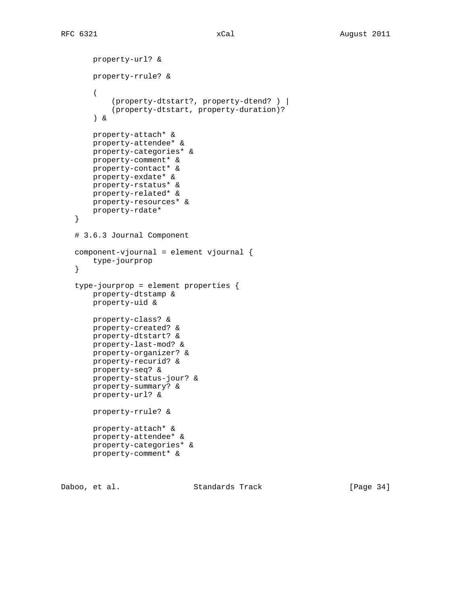```
 property-url? &
        property-rrule? &
\overline{\phantom{a}} (property-dtstart?, property-dtend? ) |
            (property-dtstart, property-duration)?
        ) &
        property-attach* &
        property-attendee* &
        property-categories* &
        property-comment* &
        property-contact* &
        property-exdate* &
        property-rstatus* &
       property-related* &
       property-resources* &
       property-rdate*
    }
    # 3.6.3 Journal Component
    component-vjournal = element vjournal {
        type-jourprop
    }
    type-jourprop = element properties {
        property-dtstamp &
        property-uid &
        property-class? &
        property-created? &
        property-dtstart? &
        property-last-mod? &
        property-organizer? &
        property-recurid? &
        property-seq? &
        property-status-jour? &
        property-summary? &
        property-url? &
        property-rrule? &
        property-attach* &
        property-attendee* &
        property-categories* &
        property-comment* &
```
Daboo, et al. Standards Track [Page 34]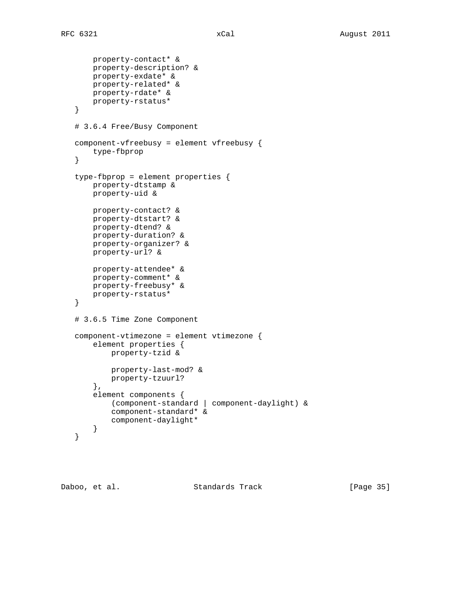```
 property-contact* &
     property-description? &
     property-exdate* &
     property-related* &
     property-rdate* &
     property-rstatus*
 }
 # 3.6.4 Free/Busy Component
 component-vfreebusy = element vfreebusy {
    type-fbprop
 }
 type-fbprop = element properties {
    property-dtstamp &
     property-uid &
     property-contact? &
     property-dtstart? &
     property-dtend? &
     property-duration? &
     property-organizer? &
     property-url? &
     property-attendee* &
     property-comment* &
     property-freebusy* &
     property-rstatus*
 }
 # 3.6.5 Time Zone Component
 component-vtimezone = element vtimezone {
     element properties {
         property-tzid &
         property-last-mod? &
         property-tzuurl?
     },
     element components {
         (component-standard | component-daylight) &
         component-standard* &
         component-daylight*
     }
 }
```
Daboo, et al. Standards Track [Page 35]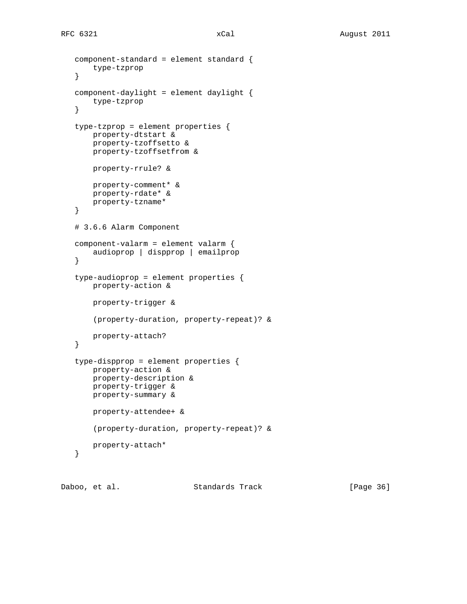```
 component-standard = element standard {
     type-tzprop
 }
 component-daylight = element daylight {
    type-tzprop
 }
 type-tzprop = element properties {
    property-dtstart &
     property-tzoffsetto &
     property-tzoffsetfrom &
     property-rrule? &
    property-comment* &
    property-rdate* &
    property-tzname*
 }
 # 3.6.6 Alarm Component
 component-valarm = element valarm {
     audioprop | dispprop | emailprop
 }
 type-audioprop = element properties {
     property-action &
     property-trigger &
     (property-duration, property-repeat)? &
     property-attach?
 }
 type-dispprop = element properties {
     property-action &
     property-description &
     property-trigger &
     property-summary &
     property-attendee+ &
     (property-duration, property-repeat)? &
     property-attach*
 }
```
Daboo, et al. Standards Track [Page 36]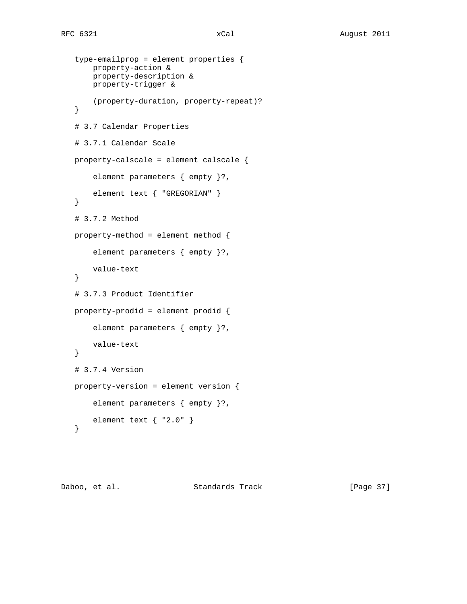```
 type-emailprop = element properties {
     property-action &
     property-description &
     property-trigger &
     (property-duration, property-repeat)?
 }
 # 3.7 Calendar Properties
 # 3.7.1 Calendar Scale
 property-calscale = element calscale {
     element parameters { empty }?,
    element text { "GREGORIAN" }
 }
 # 3.7.2 Method
 property-method = element method {
     element parameters { empty }?,
     value-text
 }
 # 3.7.3 Product Identifier
 property-prodid = element prodid {
     element parameters { empty }?,
    value-text
 }
 # 3.7.4 Version
 property-version = element version {
     element parameters { empty }?,
    element text { "2.0" }
 }
```
Daboo, et al. Standards Track [Page 37]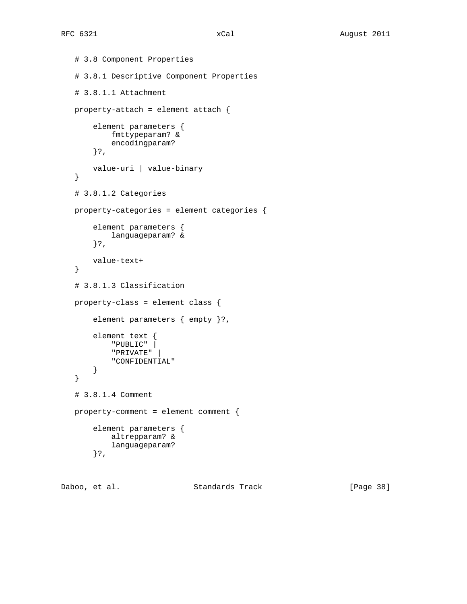```
 # 3.8 Component Properties
 # 3.8.1 Descriptive Component Properties
 # 3.8.1.1 Attachment
 property-attach = element attach {
     element parameters {
        fmttypeparam? &
         encodingparam?
     }?,
     value-uri | value-binary
 }
 # 3.8.1.2 Categories
 property-categories = element categories {
     element parameters {
         languageparam? &
     }?,
     value-text+
 }
 # 3.8.1.3 Classification
 property-class = element class {
     element parameters { empty }?,
     element text {
         "PUBLIC" |
         "PRIVATE" |
         "CONFIDENTIAL"
     }
 }
 # 3.8.1.4 Comment
 property-comment = element comment {
     element parameters {
         altrepparam? &
         languageparam?
     }?,
```
Daboo, et al. Standards Track [Page 38]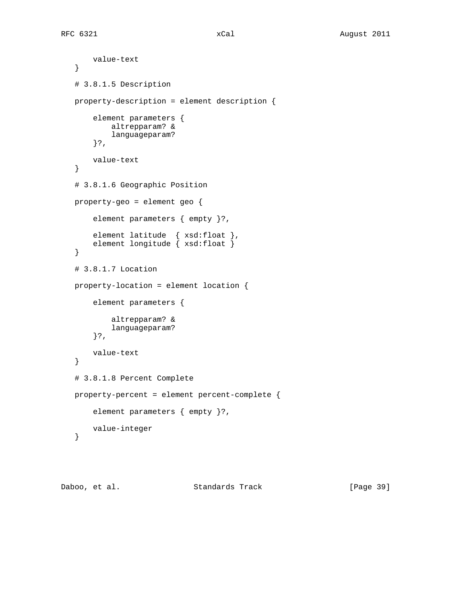```
 value-text
 }
 # 3.8.1.5 Description
 property-description = element description {
     element parameters {
         altrepparam? &
         languageparam?
     }?,
     value-text
 }
 # 3.8.1.6 Geographic Position
 property-geo = element geo {
     element parameters { empty }?,
     element latitude { xsd:float },
     element longitude { xsd:float }
 }
 # 3.8.1.7 Location
 property-location = element location {
     element parameters {
         altrepparam? &
         languageparam?
     }?,
     value-text
 }
 # 3.8.1.8 Percent Complete
 property-percent = element percent-complete {
     element parameters { empty }?,
     value-integer
 }
```
Daboo, et al. Standards Track [Page 39]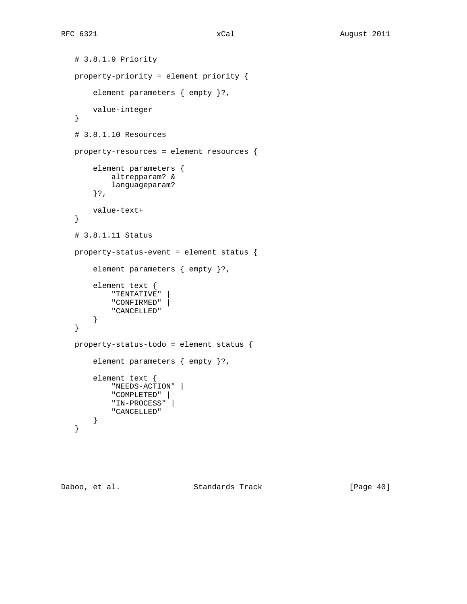```
 # 3.8.1.9 Priority
 property-priority = element priority {
     element parameters { empty }?,
    value-integer
 }
 # 3.8.1.10 Resources
 property-resources = element resources {
     element parameters {
         altrepparam? &
         languageparam?
     }?,
     value-text+
 }
 # 3.8.1.11 Status
 property-status-event = element status {
     element parameters { empty }?,
     element text {
         "TENTATIVE" |
         "CONFIRMED" |
         "CANCELLED"
     }
 }
 property-status-todo = element status {
     element parameters { empty }?,
     element text {
         "NEEDS-ACTION" |
         "COMPLETED" |
         "IN-PROCESS" |
         "CANCELLED"
    }
 }
```
Daboo, et al. Standards Track [Page 40]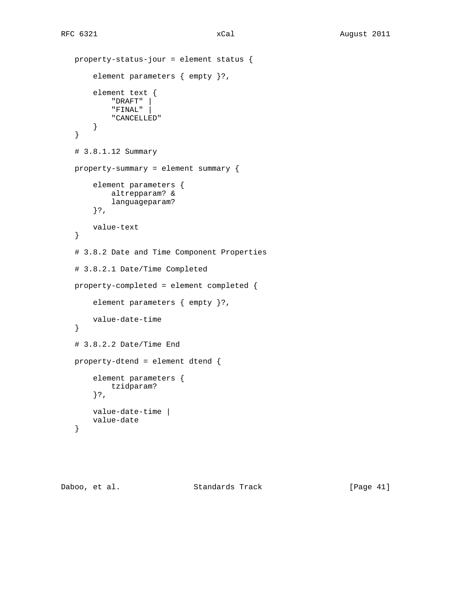```
 property-status-jour = element status {
     element parameters { empty }?,
     element text {
         "DRAFT" |
         "FINAL" |
         "CANCELLED"
     }
 }
 # 3.8.1.12 Summary
 property-summary = element summary {
     element parameters {
         altrepparam? &
         languageparam?
     }?,
     value-text
 }
 # 3.8.2 Date and Time Component Properties
 # 3.8.2.1 Date/Time Completed
 property-completed = element completed {
     element parameters { empty }?,
     value-date-time
 }
 # 3.8.2.2 Date/Time End
 property-dtend = element dtend {
     element parameters {
         tzidparam?
     }?,
     value-date-time |
     value-date
 }
```
Daboo, et al. Standards Track [Page 41]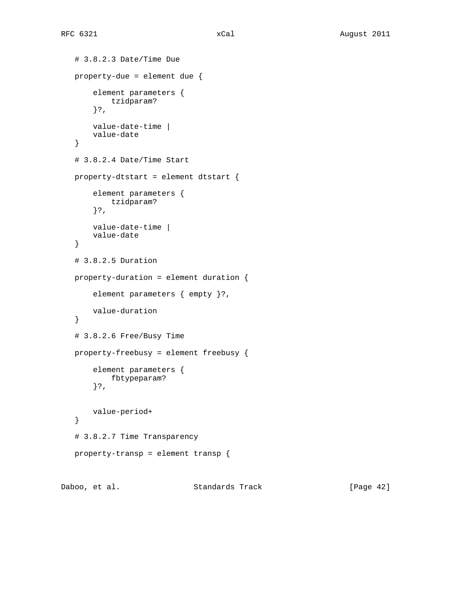```
 # 3.8.2.3 Date/Time Due
 property-due = element due {
     element parameters {
         tzidparam?
     }?,
     value-date-time |
     value-date
 }
 # 3.8.2.4 Date/Time Start
 property-dtstart = element dtstart {
     element parameters {
        tzidparam?
     }?,
     value-date-time |
     value-date
 }
 # 3.8.2.5 Duration
 property-duration = element duration {
     element parameters { empty }?,
     value-duration
 }
 # 3.8.2.6 Free/Busy Time
 property-freebusy = element freebusy {
     element parameters {
        fbtypeparam?
     }?,
     value-period+
 }
 # 3.8.2.7 Time Transparency
 property-transp = element transp {
```
Daboo, et al. Standards Track [Page 42]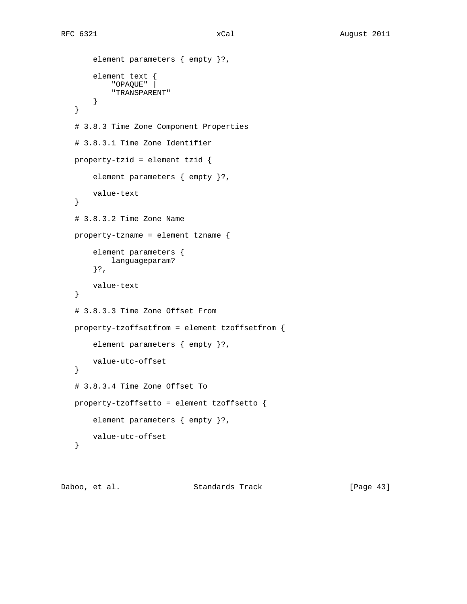```
 element parameters { empty }?,
     element text {
         "OPAQUE" |
         "TRANSPARENT"
     }
 }
 # 3.8.3 Time Zone Component Properties
 # 3.8.3.1 Time Zone Identifier
 property-tzid = element tzid {
     element parameters { empty }?,
     value-text
 }
 # 3.8.3.2 Time Zone Name
 property-tzname = element tzname {
     element parameters {
         languageparam?
     }?,
     value-text
 }
 # 3.8.3.3 Time Zone Offset From
 property-tzoffsetfrom = element tzoffsetfrom {
     element parameters { empty }?,
    value-utc-offset
 }
 # 3.8.3.4 Time Zone Offset To
 property-tzoffsetto = element tzoffsetto {
     element parameters { empty }?,
     value-utc-offset
 }
```
Daboo, et al. Standards Track [Page 43]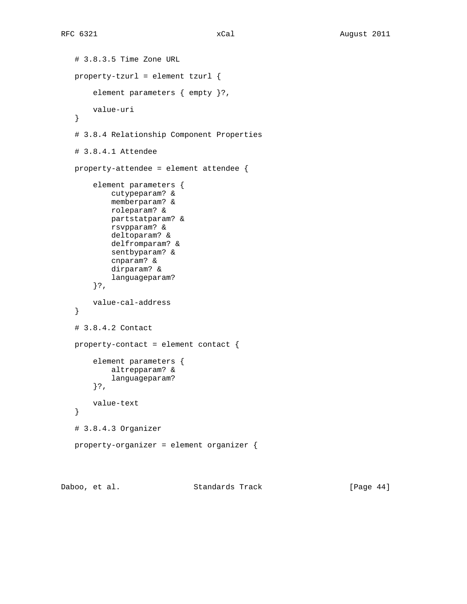```
 # 3.8.3.5 Time Zone URL
 property-tzurl = element tzurl {
     element parameters { empty }?,
     value-uri
 }
 # 3.8.4 Relationship Component Properties
 # 3.8.4.1 Attendee
 property-attendee = element attendee {
     element parameters {
         cutypeparam? &
         memberparam? &
         roleparam? &
         partstatparam? &
         rsvpparam? &
         deltoparam? &
         delfromparam? &
         sentbyparam? &
         cnparam? &
         dirparam? &
         languageparam?
     }?,
     value-cal-address
 }
 # 3.8.4.2 Contact
 property-contact = element contact {
     element parameters {
         altrepparam? &
         languageparam?
     }?,
     value-text
 }
 # 3.8.4.3 Organizer
 property-organizer = element organizer {
```
Daboo, et al. Standards Track [Page 44]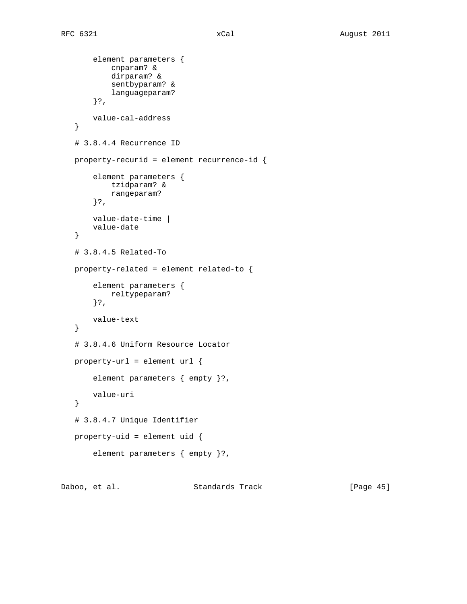```
 element parameters {
         cnparam? &
         dirparam? &
         sentbyparam? &
         languageparam?
     }?,
     value-cal-address
 }
 # 3.8.4.4 Recurrence ID
 property-recurid = element recurrence-id {
     element parameters {
         tzidparam? &
         rangeparam?
     }?,
     value-date-time |
     value-date
 }
 # 3.8.4.5 Related-To
 property-related = element related-to {
     element parameters {
         reltypeparam?
     }?,
     value-text
 }
 # 3.8.4.6 Uniform Resource Locator
 property-url = element url {
     element parameters { empty }?,
     value-uri
 }
 # 3.8.4.7 Unique Identifier
 property-uid = element uid {
     element parameters { empty }?,
```
Daboo, et al. Standards Track [Page 45]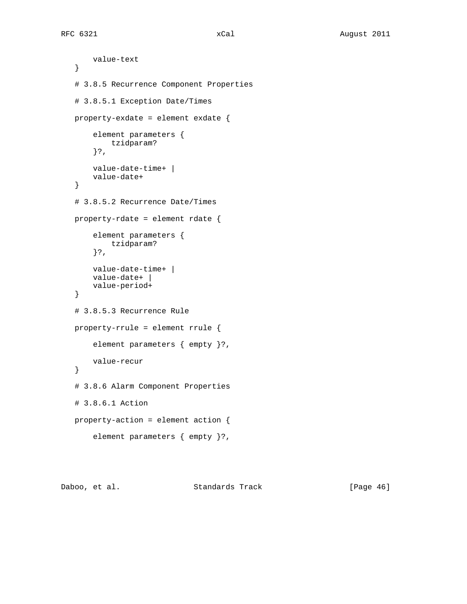```
 value-text
 }
 # 3.8.5 Recurrence Component Properties
 # 3.8.5.1 Exception Date/Times
 property-exdate = element exdate {
     element parameters {
        tzidparam?
     }?,
     value-date-time+ |
     value-date+
 }
 # 3.8.5.2 Recurrence Date/Times
 property-rdate = element rdate {
     element parameters {
         tzidparam?
     }?,
     value-date-time+ |
     value-date+ |
     value-period+
 }
 # 3.8.5.3 Recurrence Rule
 property-rrule = element rrule {
     element parameters { empty }?,
    value-recur
 }
 # 3.8.6 Alarm Component Properties
 # 3.8.6.1 Action
 property-action = element action {
     element parameters { empty }?,
```
Daboo, et al. Standards Track [Page 46]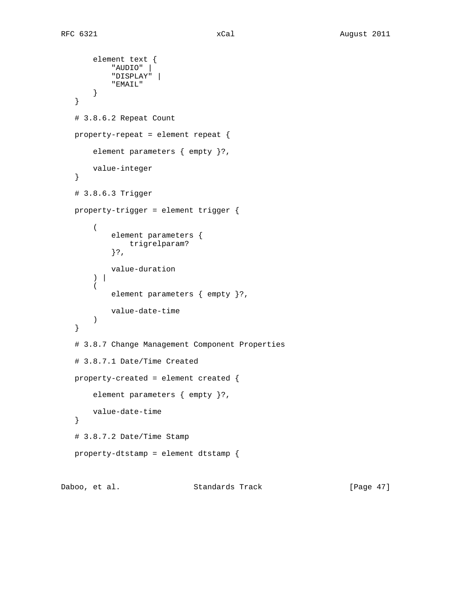```
 element text {
          "AUDIO" |
          "DISPLAY" |
          "EMAIL"
     }
 }
 # 3.8.6.2 Repeat Count
 property-repeat = element repeat {
     element parameters { empty }?,
    value-integer
 }
 # 3.8.6.3 Trigger
 property-trigger = element trigger {
    \left( element parameters {
             trigrelparam?
          }?,
         value-duration
    \left| \right| (
         element parameters { empty }?,
         value-date-time
     )
 }
 # 3.8.7 Change Management Component Properties
 # 3.8.7.1 Date/Time Created
 property-created = element created {
     element parameters { empty }?,
     value-date-time
 }
 # 3.8.7.2 Date/Time Stamp
 property-dtstamp = element dtstamp {
```
Daboo, et al. Standards Track [Page 47]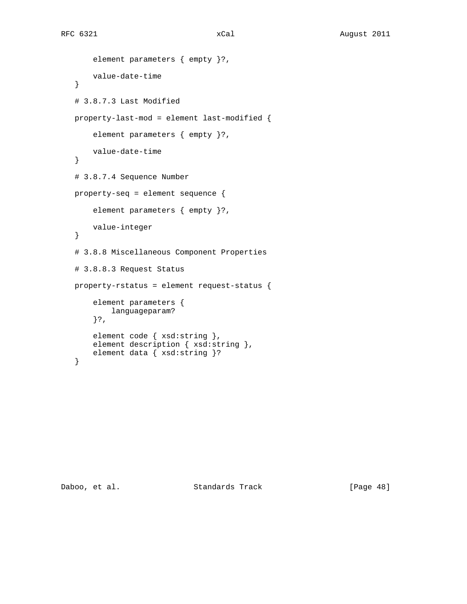```
 element parameters { empty }?,
     value-date-time
 }
```

```
 # 3.8.7.3 Last Modified
 property-last-mod = element last-modified {
     element parameters { empty }?,
    value-date-time
 }
 # 3.8.7.4 Sequence Number
 property-seq = element sequence {
     element parameters { empty }?,
     value-integer
 }
 # 3.8.8 Miscellaneous Component Properties
 # 3.8.8.3 Request Status
 property-rstatus = element request-status {
     element parameters {
        languageparam?
     }?,
    element code { xsd:string },
    element description { xsd:string },
     element data { xsd:string }?
 }
```
Daboo, et al. Standards Track [Page 48]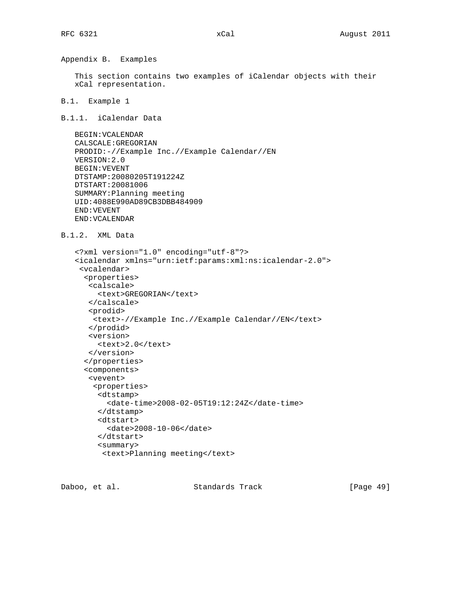Appendix B. Examples

 This section contains two examples of iCalendar objects with their xCal representation.

B.1. Example 1

B.1.1. iCalendar Data

```
 BEGIN:VCALENDAR
 CALSCALE:GREGORIAN
 PRODID:-//Example Inc.//Example Calendar//EN
 VERSION:2.0
 BEGIN:VEVENT
 DTSTAMP:20080205T191224Z
 DTSTART:20081006
 SUMMARY:Planning meeting
 UID:4088E990AD89CB3DBB484909
 END:VEVENT
 END:VCALENDAR
```

```
B.1.2. XML Data
```

```
 <?xml version="1.0" encoding="utf-8"?>
 <icalendar xmlns="urn:ietf:params:xml:ns:icalendar-2.0">
  <vcalendar>
   <properties>
    <calscale>
     <text>GREGORIAN</text>
    </calscale>
    <prodid>
    <text>-//Example Inc.//Example Calendar//EN</text>
    </prodid>
    <version>
     <text>2.0</text>
    </version>
   </properties>
   <components>
    <vevent>
     <properties>
      <dtstamp>
        <date-time>2008-02-05T19:12:24Z</date-time>
      </dtstamp>
      <dtstart>
        <date>2008-10-06</date>
      </dtstart>
      <summary>
       <text>Planning meeting</text>
```
Daboo, et al. Standards Track [Page 49]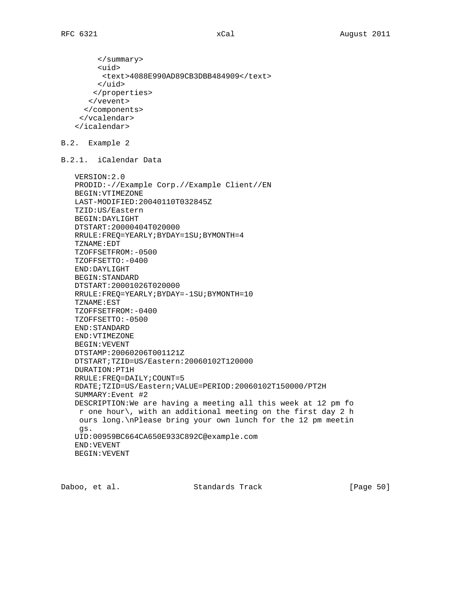```
 </summary>
      <uid>
       <text>4088E990AD89CB3DBB484909</text>
      </uid>
     </properties>
    </vevent>
   </components>
  </vcalendar>
 </icalendar>
```

```
B.2. Example 2
```
B.2.1. iCalendar Data

```
 VERSION:2.0
 PRODID:-//Example Corp.//Example Client//EN
 BEGIN:VTIMEZONE
 LAST-MODIFIED:20040110T032845Z
 TZID:US/Eastern
 BEGIN:DAYLIGHT
 DTSTART:20000404T020000
 RRULE:FREQ=YEARLY;BYDAY=1SU;BYMONTH=4
 TZNAME:EDT
 TZOFFSETFROM:-0500
 TZOFFSETTO:-0400
 END:DAYLIGHT
 BEGIN:STANDARD
 DTSTART:20001026T020000
 RRULE:FREQ=YEARLY;BYDAY=-1SU;BYMONTH=10
 TZNAME:EST
 TZOFFSETFROM:-0400
 TZOFFSETTO:-0500
 END:STANDARD
 END:VTIMEZONE
 BEGIN:VEVENT
 DTSTAMP:20060206T001121Z
 DTSTART;TZID=US/Eastern:20060102T120000
 DURATION:PT1H
 RRULE:FREQ=DAILY;COUNT=5
 RDATE;TZID=US/Eastern;VALUE=PERIOD:20060102T150000/PT2H
 SUMMARY:Event #2
 DESCRIPTION:We are having a meeting all this week at 12 pm fo
 r one hour\, with an additional meeting on the first day 2 h
 ours long.\nPlease bring your own lunch for the 12 pm meetin
 gs.
 UID:00959BC664CA650E933C892C@example.com
 END:VEVENT
 BEGIN:VEVENT
```
Daboo, et al. Standards Track [Page 50]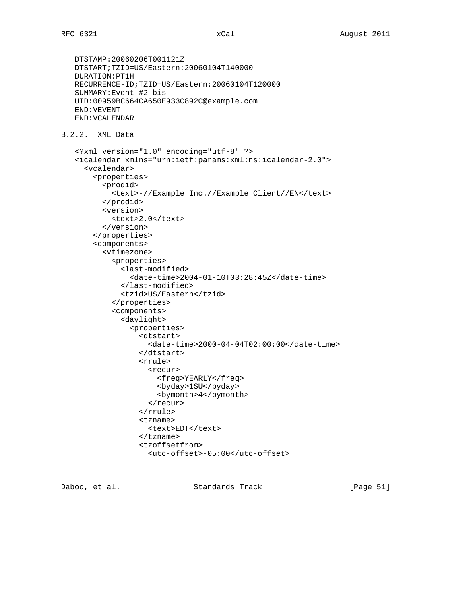```
 DTSTAMP:20060206T001121Z
    DTSTART;TZID=US/Eastern:20060104T140000
   DURATION:PT1H
   RECURRENCE-ID;TZID=US/Eastern:20060104T120000
    SUMMARY:Event #2 bis
   UID:00959BC664CA650E933C892C@example.com
   END:VEVENT
   END:VCALENDAR
B.2.2. XML Data
    <?xml version="1.0" encoding="utf-8" ?>
    <icalendar xmlns="urn:ietf:params:xml:ns:icalendar-2.0">
      <vcalendar>
        <properties>
          <prodid>
            <text>-//Example Inc.//Example Client//EN</text>
          </prodid>
          <version>
           <text>2.0</text>
          </version>
        </properties>
        <components>
          <vtimezone>
            <properties>
              <last-modified>
                 <date-time>2004-01-10T03:28:45Z</date-time>
               </last-modified>
              <tzid>US/Eastern</tzid>
            </properties>
            <components>
               <daylight>
                 <properties>
                   <dtstart>
                     <date-time>2000-04-04T02:00:00</date-time>
                   </dtstart>
                   <rrule>
                     <recur>
                       <freq>YEARLY</freq>
                       <byday>1SU</byday>
                       <bymonth>4</bymonth>
                     </recur>
                   </rrule>
                   <tzname>
                    <text>EDT</text>
                   </tzname>
                   <tzoffsetfrom>
                     <utc-offset>-05:00</utc-offset>
```
Daboo, et al. Standards Track [Page 51]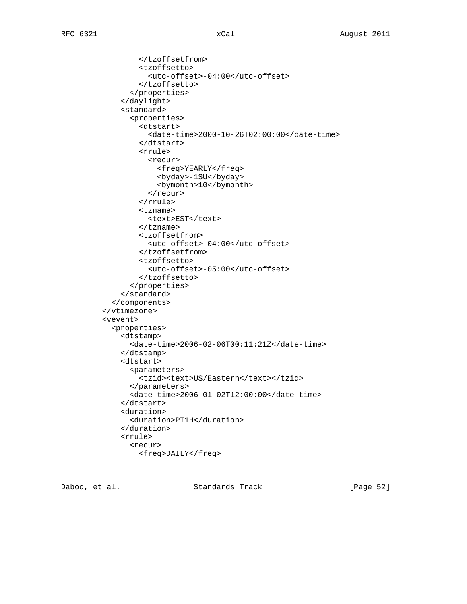```
 </tzoffsetfrom>
         <tzoffsetto>
            <utc-offset>-04:00</utc-offset>
         </tzoffsetto>
       </properties>
     </daylight>
     <standard>
       <properties>
         <dtstart>
            <date-time>2000-10-26T02:00:00</date-time>
         </dtstart>
         <rrule>
           <recur>
              <freq>YEARLY</freq>
              <byday>-1SU</byday>
              <bymonth>10</bymonth>
           \langle /recur>
         </rrule>
         <tzname>
          <text>EST</text>
         </tzname>
         <tzoffsetfrom>
            <utc-offset>-04:00</utc-offset>
         </tzoffsetfrom>
         <tzoffsetto>
            <utc-offset>-05:00</utc-offset>
         </tzoffsetto>
       </properties>
     </standard>
   </components>
 </vtimezone>
 <vevent>
   <properties>
     <dtstamp>
       <date-time>2006-02-06T00:11:21Z</date-time>
     </dtstamp>
     <dtstart>
       <parameters>
        <tzid><text>US/Eastern</text></tzid>
       </parameters>
       <date-time>2006-01-02T12:00:00</date-time>
     </dtstart>
     <duration>
       <duration>PT1H</duration>
     </duration>
     <rrule>
       <recur>
         <freq>DAILY</freq>
```
Daboo, et al. Standards Track [Page 52]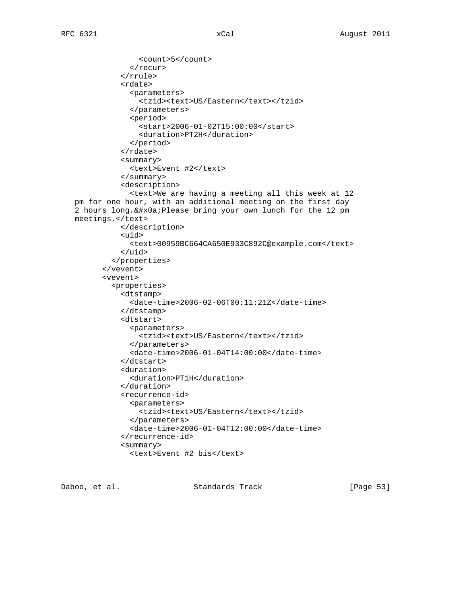```
 <count>5</count>
             </recur>
           </rrule>
           <rdate>
              <parameters>
               <tzid><text>US/Eastern</text></tzid>
              </parameters>
              <period>
                <start>2006-01-02T15:00:00</start>
                <duration>PT2H</duration>
             </period>
           </rdate>
           <summary>
             <text>Event #2</text>
           </summary>
           <description>
             <text>We are having a meeting all this week at 12
 pm for one hour, with an additional meeting on the first day
 2 hours long.
Please bring your own lunch for the 12 pm
 meetings.</text>
           </description>
           <uid>
              <text>00959BC664CA650E933C892C@example.com</text>
           </uid>
         </properties>
       </vevent>
       <vevent>
         <properties>
           <dtstamp>
              <date-time>2006-02-06T00:11:21Z</date-time>
           </dtstamp>
           <dtstart>
              <parameters>
               <tzid><text>US/Eastern</text></tzid>
             </parameters>
              <date-time>2006-01-04T14:00:00</date-time>
           </dtstart>
           <duration>
             <duration>PT1H</duration>
           </duration>
           <recurrence-id>
             <parameters>
               <tzid><text>US/Eastern</text></tzid>
              </parameters>
              <date-time>2006-01-04T12:00:00</date-time>
           </recurrence-id>
           <summary>
             <text>Event #2 bis</text>
```
Daboo, et al. Standards Track [Page 53]